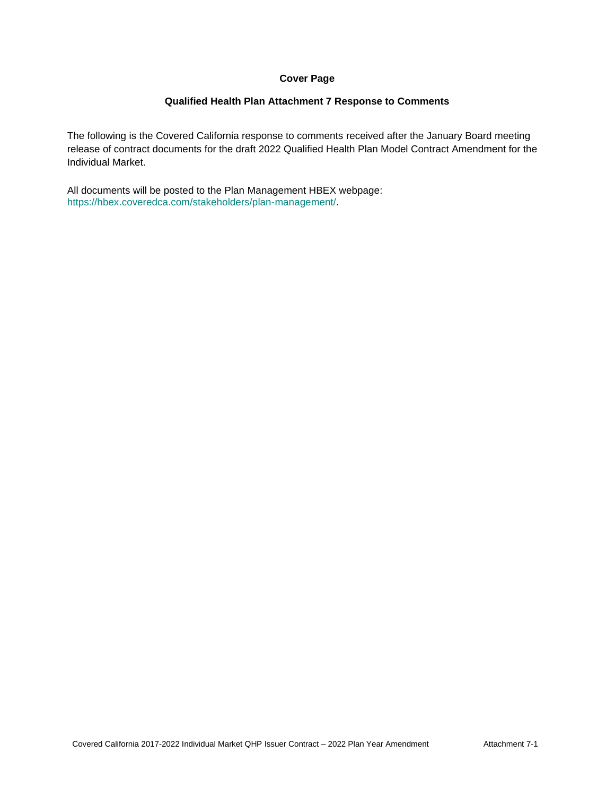### **Cover Page**

#### **Qualified Health Plan Attachment 7 Response to Comments**

The following is the Covered California response to comments received after the January Board meeting release of contract documents for the draft 2022 Qualified Health Plan Model Contract Amendment for the Individual Market.

All documents will be posted to the Plan Management HBEX webpage: https://hbex.coveredca.com/stakeholders/plan-management/.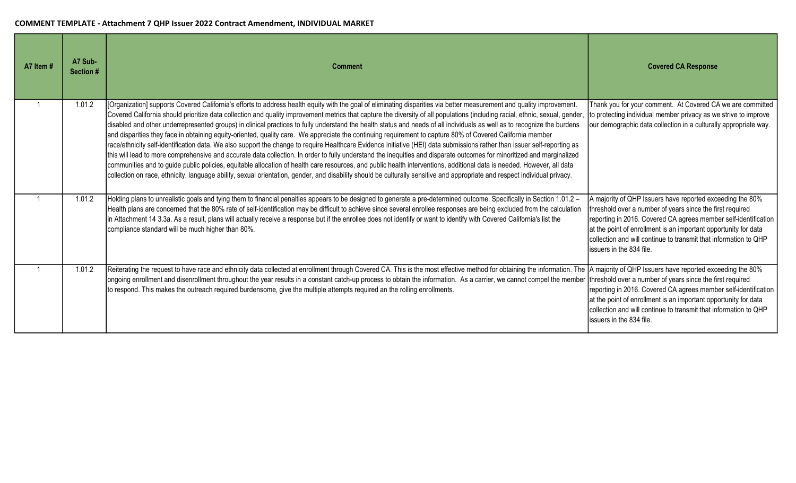| A7 Item# | A7 Sub-<br>Section # | <b>Comment</b>                                                                                                                                                                                                                                                                                                                                                                                                                                                                                                                                                                                                                                                                                                                                                                                                                                                                                                                                                                                                                                                                                                                                                                                                                                                                                                                                                                                                   | <b>Covered CA Response</b>                                                                                                                                                                                                                                                                                                                                   |
|----------|----------------------|------------------------------------------------------------------------------------------------------------------------------------------------------------------------------------------------------------------------------------------------------------------------------------------------------------------------------------------------------------------------------------------------------------------------------------------------------------------------------------------------------------------------------------------------------------------------------------------------------------------------------------------------------------------------------------------------------------------------------------------------------------------------------------------------------------------------------------------------------------------------------------------------------------------------------------------------------------------------------------------------------------------------------------------------------------------------------------------------------------------------------------------------------------------------------------------------------------------------------------------------------------------------------------------------------------------------------------------------------------------------------------------------------------------|--------------------------------------------------------------------------------------------------------------------------------------------------------------------------------------------------------------------------------------------------------------------------------------------------------------------------------------------------------------|
|          | 1.01.2               | [Organization] supports Covered California's efforts to address health equity with the goal of eliminating disparities via better measurement and quality improvement.<br>Covered California should prioritize data collection and quality improvement metrics that capture the diversity of all populations (including racial, ethnic, sexual, gender,<br>disabled and other underrepresented groups) in clinical practices to fully understand the health status and needs of all individuals as well as to recognize the burdens<br>and disparities they face in obtaining equity-oriented, quality care. We appreciate the continuing requirement to capture 80% of Covered California member<br>race/ethnicity self-identification data. We also support the change to require Healthcare Evidence initiative (HEI) data submissions rather than issuer self-reporting as<br>this will lead to more comprehensive and accurate data collection. In order to fully understand the inequities and disparate outcomes for minoritized and marginalized<br>communities and to guide public policies, equitable allocation of health care resources, and public health interventions, additional data is needed. However, all data<br>collection on race, ethnicity, language ability, sexual orientation, gender, and disability should be culturally sensitive and appropriate and respect individual privacy. | Thank you for your comment. At Covered CA we are committed<br>to protecting individual member privacy as we strive to improve<br>our demographic data collection in a culturally appropriate way.                                                                                                                                                            |
|          | 1.01.2               | Holding plans to unrealistic goals and tying them to financial penalties appears to be designed to generate a pre-determined outcome. Specifically in Section 1.01.2 -<br>Health plans are concerned that the 80% rate of self-identification may be difficult to achieve since several enrollee responses are being excluded from the calculation<br>in Attachment 14 3.3a. As a result, plans will actually receive a response but if the enrollee does not identify or want to identify with Covered California's list the<br>compliance standard will be much higher than 80%.                                                                                                                                                                                                                                                                                                                                                                                                                                                                                                                                                                                                                                                                                                                                                                                                                               | A majority of QHP Issuers have reported exceeding the 80%<br>threshold over a number of years since the first required<br>reporting in 2016. Covered CA agrees member self-identification<br>at the point of enrollment is an important opportunity for data<br>collection and will continue to transmit that information to QHP<br>issuers in the 834 file. |
|          | 1.01.2               | Reiterating the request to have race and ethnicity data collected at enrollment through Covered CA. This is the most effective method for obtaining the information. The<br>ongoing enrollment and disenrollment throughout the year results in a constant catch-up process to obtain the information. As a carrier, we cannot compel the member<br>to respond. This makes the outreach required burdensome, give the multiple attempts required an the rolling enrollments.                                                                                                                                                                                                                                                                                                                                                                                                                                                                                                                                                                                                                                                                                                                                                                                                                                                                                                                                     | A majority of QHP Issuers have reported exceeding the 80%<br>threshold over a number of years since the first required<br>reporting in 2016. Covered CA agrees member self-identification<br>at the point of enrollment is an important opportunity for data<br>collection and will continue to transmit that information to QHP<br>issuers in the 834 file. |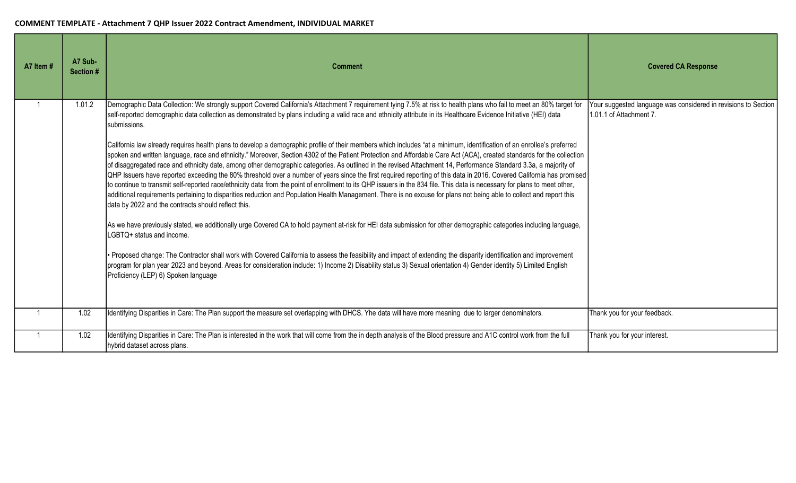| A7 Item # | A7 Sub-<br>Section # | <b>Comment</b>                                                                                                                                                                                                                                                                                                                                                                                                                                                                                                                                                                                                                                                                                                                                                                                                                                                                                                                                                                                                                                                                                                                                                                                                                                                                                                                                                                                                                                                                                                                                                                                                                                                                                                                                                                                                                                                                                                                                                                                                                                                   | <b>Covered CA Response</b>                                                                |
|-----------|----------------------|------------------------------------------------------------------------------------------------------------------------------------------------------------------------------------------------------------------------------------------------------------------------------------------------------------------------------------------------------------------------------------------------------------------------------------------------------------------------------------------------------------------------------------------------------------------------------------------------------------------------------------------------------------------------------------------------------------------------------------------------------------------------------------------------------------------------------------------------------------------------------------------------------------------------------------------------------------------------------------------------------------------------------------------------------------------------------------------------------------------------------------------------------------------------------------------------------------------------------------------------------------------------------------------------------------------------------------------------------------------------------------------------------------------------------------------------------------------------------------------------------------------------------------------------------------------------------------------------------------------------------------------------------------------------------------------------------------------------------------------------------------------------------------------------------------------------------------------------------------------------------------------------------------------------------------------------------------------------------------------------------------------------------------------------------------------|-------------------------------------------------------------------------------------------|
|           | 1.01.2               | Demographic Data Collection: We strongly support Covered California's Attachment 7 requirement tying 7.5% at risk to health plans who fail to meet an 80% target for<br>self-reported demographic data collection as demonstrated by plans including a valid race and ethnicity attribute in its Healthcare Evidence Initiative (HEI) data<br>submissions.<br>California law already requires health plans to develop a demographic profile of their members which includes "at a minimum, identification of an enrollee's preferred<br>spoken and written language, race and ethnicity." Moreover, Section 4302 of the Patient Protection and Affordable Care Act (ACA), created standards for the collection<br>of disaggregated race and ethnicity date, among other demographic categories. As outlined in the revised Attachment 14, Performance Standard 3.3a, a majority of<br>QHP Issuers have reported exceeding the 80% threshold over a number of years since the first required reporting of this data in 2016. Covered California has promised<br>to continue to transmit self-reported race/ethnicity data from the point of enrollment to its QHP issuers in the 834 file. This data is necessary for plans to meet other,<br>additional requirements pertaining to disparities reduction and Population Health Management. There is no excuse for plans not being able to collect and report this<br>data by 2022 and the contracts should reflect this.<br>As we have previously stated, we additionally urge Covered CA to hold payment at-risk for HEI data submission for other demographic categories including language,<br>LGBTQ+ status and income.<br>• Proposed change: The Contractor shall work with Covered California to assess the feasibility and impact of extending the disparity identification and improvement<br>program for plan year 2023 and beyond. Areas for consideration include: 1) Income 2) Disability status 3) Sexual orientation 4) Gender identity 5) Limited English<br>Proficiency (LEP) 6) Spoken language | Your suggested language was considered in revisions to Section<br>1.01.1 of Attachment 7. |
|           | 1.02                 | Identifying Disparities in Care: The Plan support the measure set overlapping with DHCS. Yhe data will have more meaning due to larger denominators.                                                                                                                                                                                                                                                                                                                                                                                                                                                                                                                                                                                                                                                                                                                                                                                                                                                                                                                                                                                                                                                                                                                                                                                                                                                                                                                                                                                                                                                                                                                                                                                                                                                                                                                                                                                                                                                                                                             | Thank you for your feedback.                                                              |
|           | 1.02                 | Identifying Disparities in Care: The Plan is interested in the work that will come from the in depth analysis of the Blood pressure and A1C control work from the full<br>hybrid dataset across plans.                                                                                                                                                                                                                                                                                                                                                                                                                                                                                                                                                                                                                                                                                                                                                                                                                                                                                                                                                                                                                                                                                                                                                                                                                                                                                                                                                                                                                                                                                                                                                                                                                                                                                                                                                                                                                                                           | Thank you for your interest.                                                              |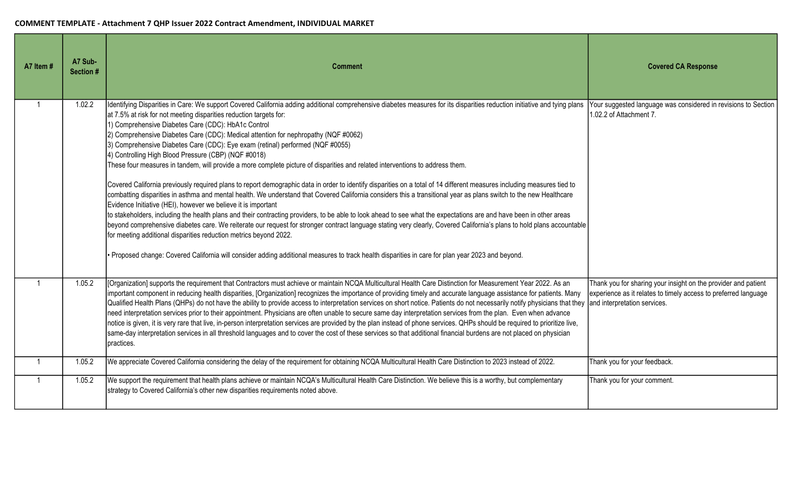| A7 Item #    | A7 Sub-<br>Section # | <b>Comment</b>                                                                                                                                                                                                                                                                                                                                                                                                                                                                                                                                                                                                                                                                                                                                                                                                                                                                                                                                                                                                                                                                                                                                                                                                                                                                                                                                                                                                                                                                                                                                                                                                                                                        | <b>Covered CA Response</b>                                                                                                        |
|--------------|----------------------|-----------------------------------------------------------------------------------------------------------------------------------------------------------------------------------------------------------------------------------------------------------------------------------------------------------------------------------------------------------------------------------------------------------------------------------------------------------------------------------------------------------------------------------------------------------------------------------------------------------------------------------------------------------------------------------------------------------------------------------------------------------------------------------------------------------------------------------------------------------------------------------------------------------------------------------------------------------------------------------------------------------------------------------------------------------------------------------------------------------------------------------------------------------------------------------------------------------------------------------------------------------------------------------------------------------------------------------------------------------------------------------------------------------------------------------------------------------------------------------------------------------------------------------------------------------------------------------------------------------------------------------------------------------------------|-----------------------------------------------------------------------------------------------------------------------------------|
| 1            | 1.02.2               | Identifying Disparities in Care: We support Covered California adding additional comprehensive diabetes measures for its disparities reduction initiative and tying plans<br>at 7.5% at risk for not meeting disparities reduction targets for:<br>1) Comprehensive Diabetes Care (CDC): HbA1c Control<br>2) Comprehensive Diabetes Care (CDC): Medical attention for nephropathy (NQF #0062)<br>3) Comprehensive Diabetes Care (CDC): Eye exam (retinal) performed (NQF #0055)<br>4) Controlling High Blood Pressure (CBP) (NQF #0018)<br>These four measures in tandem, will provide a more complete picture of disparities and related interventions to address them.<br>Covered California previously required plans to report demographic data in order to identify disparities on a total of 14 different measures including measures tied to<br>combatting disparities in asthma and mental health. We understand that Covered California considers this a transitional year as plans switch to the new Healthcare<br>Evidence Initiative (HEI), however we believe it is important<br>to stakeholders, including the health plans and their contracting providers, to be able to look ahead to see what the expectations are and have been in other areas<br>beyond comprehensive diabetes care. We reiterate our request for stronger contract language stating very clearly, Covered California's plans to hold plans accountable<br>for meeting additional disparities reduction metrics beyond 2022.<br>• Proposed change: Covered California will consider adding additional measures to track health disparities in care for plan year 2023 and beyond. | Your suggested language was considered in revisions to Section<br>1.02.2 of Attachment 7.                                         |
|              | 1.05.2               | [Organization] supports the requirement that Contractors must achieve or maintain NCQA Multicultural Health Care Distinction for Measurement Year 2022. As an<br>important component in reducing health disparities, [Organization] recognizes the importance of providing timely and accurate language assistance for patients. Many<br>Qualified Health Plans (QHPs) do not have the ability to provide access to interpretation services on short notice. Patients do not necessarily notify physicians that they and interpretation services.<br>need interpretation services prior to their appointment. Physicians are often unable to secure same day interpretation services from the plan. Even when advance<br>notice is given, it is very rare that live, in-person interpretation services are provided by the plan instead of phone services. QHPs should be required to prioritize live,<br>same-day interpretation services in all threshold languages and to cover the cost of these services so that additional financial burdens are not placed on physician<br>practices.                                                                                                                                                                                                                                                                                                                                                                                                                                                                                                                                                                          | Thank you for sharing your insight on the provider and patient<br>experience as it relates to timely access to preferred language |
| $\mathbf{1}$ | 1.05.2               | We appreciate Covered California considering the delay of the requirement for obtaining NCQA Multicultural Health Care Distinction to 2023 instead of 2022.                                                                                                                                                                                                                                                                                                                                                                                                                                                                                                                                                                                                                                                                                                                                                                                                                                                                                                                                                                                                                                                                                                                                                                                                                                                                                                                                                                                                                                                                                                           | Thank you for your feedback.                                                                                                      |
| $\mathbf{1}$ | 1.05.2               | We support the requirement that health plans achieve or maintain NCQA's Multicultural Health Care Distinction. We believe this is a worthy, but complementary<br>strategy to Covered California's other new disparities requirements noted above.                                                                                                                                                                                                                                                                                                                                                                                                                                                                                                                                                                                                                                                                                                                                                                                                                                                                                                                                                                                                                                                                                                                                                                                                                                                                                                                                                                                                                     | Thank you for your comment.                                                                                                       |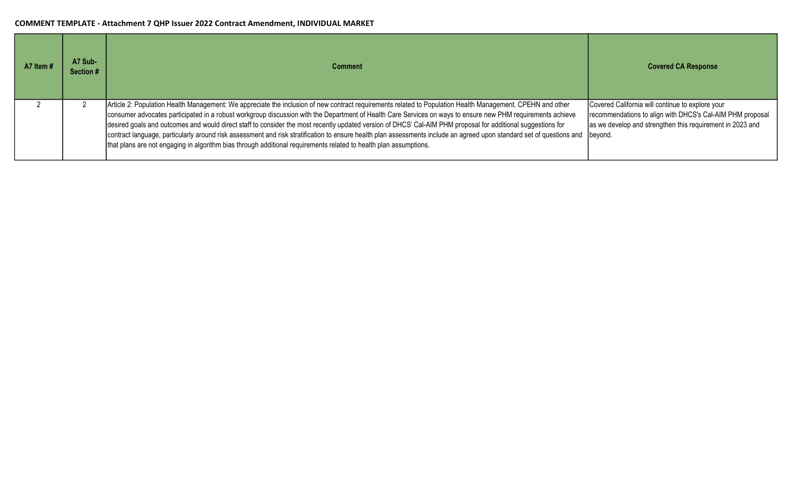| A7 Item # | A7 Sub-<br>Section # | <b>Comment</b>                                                                                                                                                                                                                                                                                                                                                                                                                                                                                                                                                                                                                                                                                                                                                                          | <b>Covered CA Response</b>                                                                                                                                                            |
|-----------|----------------------|-----------------------------------------------------------------------------------------------------------------------------------------------------------------------------------------------------------------------------------------------------------------------------------------------------------------------------------------------------------------------------------------------------------------------------------------------------------------------------------------------------------------------------------------------------------------------------------------------------------------------------------------------------------------------------------------------------------------------------------------------------------------------------------------|---------------------------------------------------------------------------------------------------------------------------------------------------------------------------------------|
|           |                      | Article 2: Population Health Management: We appreciate the inclusion of new contract requirements related to Population Health Management. CPEHN and other<br>consumer advocates participated in a robust workgroup discussion with the Department of Health Care Services on ways to ensure new PHM requirements achieve<br>desired goals and outcomes and would direct staff to consider the most recently updated version of DHCS' Cal-AIM PHM proposal for additional suggestions for<br>contract language, particularly around risk assessment and risk stratification to ensure health plan assessments include an agreed upon standard set of questions and<br>that plans are not engaging in algorithm bias through additional requirements related to health plan assumptions. | Covered California will continue to explore your<br>recommendations to align with DHCS's Cal-AIM PHM proposal<br>as we develop and strengthen this requirement in 2023 and<br>beyond. |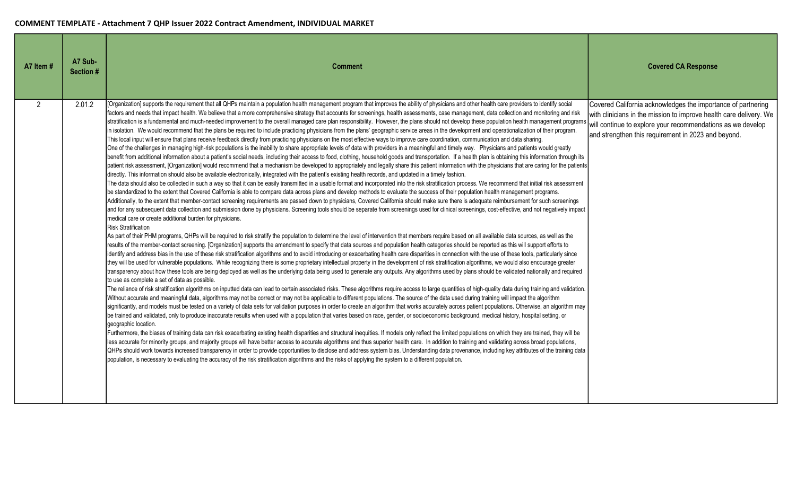| A7 Item #      | A7 Sub-<br>Section # | <b>Comment</b>                                                                                                                                                                                                                                                                                                                                                                                                                                                                                                                                                                                                                                                                                                                                                                                                                                                                                                                                                                                                                                                                                                                                                                                                                                                                                                                                                                                                                                                                                                                                                                                                                                                                                                                                                                                                                                                                                                                                                                                                                                                                                                                                                                                                                                                                                                                                                                                                                                                                                                                                                                                                                                                                                                                                                                                                                                                                                                                                                                                                                                                                                                                                                                                                                                                                                                                                                                                                                                                                                                                                                                                                                                                                                                                                                                                                                                                                                                                                                                                                                                                                                                                                                                                                                                                                                                                                                                                                                                                                                                                                                                                                                                                                                                                                                                                                                                                                                                                                                                                                                                                                                                                                                                                                                                                                                                                                                                                                                                          | <b>Covered CA Response</b>                                                                                                                                                                                                                               |
|----------------|----------------------|---------------------------------------------------------------------------------------------------------------------------------------------------------------------------------------------------------------------------------------------------------------------------------------------------------------------------------------------------------------------------------------------------------------------------------------------------------------------------------------------------------------------------------------------------------------------------------------------------------------------------------------------------------------------------------------------------------------------------------------------------------------------------------------------------------------------------------------------------------------------------------------------------------------------------------------------------------------------------------------------------------------------------------------------------------------------------------------------------------------------------------------------------------------------------------------------------------------------------------------------------------------------------------------------------------------------------------------------------------------------------------------------------------------------------------------------------------------------------------------------------------------------------------------------------------------------------------------------------------------------------------------------------------------------------------------------------------------------------------------------------------------------------------------------------------------------------------------------------------------------------------------------------------------------------------------------------------------------------------------------------------------------------------------------------------------------------------------------------------------------------------------------------------------------------------------------------------------------------------------------------------------------------------------------------------------------------------------------------------------------------------------------------------------------------------------------------------------------------------------------------------------------------------------------------------------------------------------------------------------------------------------------------------------------------------------------------------------------------------------------------------------------------------------------------------------------------------------------------------------------------------------------------------------------------------------------------------------------------------------------------------------------------------------------------------------------------------------------------------------------------------------------------------------------------------------------------------------------------------------------------------------------------------------------------------------------------------------------------------------------------------------------------------------------------------------------------------------------------------------------------------------------------------------------------------------------------------------------------------------------------------------------------------------------------------------------------------------------------------------------------------------------------------------------------------------------------------------------------------------------------------------------------------------------------------------------------------------------------------------------------------------------------------------------------------------------------------------------------------------------------------------------------------------------------------------------------------------------------------------------------------------------------------------------------------------------------------------------------------------------------------------------------------------------------------------------------------------------------------------------------------------------------------------------------------------------------------------------------------------------------------------------------------------------------------------------------------------------------------------------------------------------------------------------------------------------------------------------------------------------------------------------------------------------------------------------------------------------------------------------------------------------------------------------------------------------------------------------------------------------------------------------------------------------------------------------------------------------------------------------------------------------------------------------------------------------------------------------------------------------------------------------------------------------------------------------------------|----------------------------------------------------------------------------------------------------------------------------------------------------------------------------------------------------------------------------------------------------------|
| $\overline{2}$ | 2.01.2               | [Organization] supports the requirement that all QHPs maintain a population health management program that improves the ability of physicians and other health care providers to identify social<br>factors and needs that impact health. We believe that a more comprehensive strategy that accounts for screenings, health assessments, case management, data collection and monitoring and risk<br>stratification is a fundamental and much-needed improvement to the overall managed care plan responsibility. However, the plans should not develop these population health management programs<br>in isolation. We would recommend that the plans be required to include practicing physicians from the plans' geographic service areas in the development and operationalization of their program.<br>This local input will ensure that plans receive feedback directly from practicing physicians on the most effective ways to improve care coordination, communication and data sharing.<br>One of the challenges in managing high-risk populations is the inability to share appropriate levels of data with providers in a meaningful and timely way. Physicians and patients would greatly<br>benefit from additional information about a patient's social needs, including their access to food, clothing, household goods and transportation. If a health plan is obtaining this information through its<br>patient risk assessment, [Organization] would recommend that a mechanism be developed to appropriately and legally share this patient information with the physicians that are caring for the patients<br>directly. This information should also be available electronically, integrated with the patient's existing health records, and updated in a timely fashion.<br>The data should also be collected in such a way so that it can be easily transmitted in a usable format and incorporated into the risk stratification process. We recommend that initial risk assessment<br>be standardized to the extent that Covered California is able to compare data across plans and develop methods to evaluate the success of their population health management programs.<br>Additionally, to the extent that member-contact screening requirements are passed down to physicians, Covered California should make sure there is adequate reimbursement for such screenings<br>and for any subsequent data collection and submission done by physicians. Screening tools should be separate from screenings used for clinical screenings, cost-effective, and not negatively impact<br>medical care or create additional burden for physicians.<br><b>Risk Stratification</b><br>As part of their PHM programs, QHPs will be required to risk stratify the population to determine the level of intervention that members require based on all available data sources, as well as the<br>results of the member-contact screening. [Organization] supports the amendment to specify that data sources and population health categories should be reported as this will support efforts to<br>identify and address bias in the use of these risk stratification algorithms and to avoid introducing or exacerbating health care disparities in connection with the use of these tools, particularly since<br>they will be used for vulnerable populations. While recognizing there is some proprietary intellectual property in the development of risk stratification algorithms, we would also encourage greater<br>transparency about how these tools are being deployed as well as the underlying data being used to generate any outputs. Any algorithms used by plans should be validated nationally and required<br>to use as complete a set of data as possible.<br>The reliance of risk stratification algorithms on inputted data can lead to certain associated risks. These algorithms require access to large quantities of high-quality data during training and validation.<br>Without accurate and meaningful data, algorithms may not be correct or may not be applicable to different populations. The source of the data used during training will impact the algorithm<br>significantly, and models must be tested on a variety of data sets for validation purposes in order to create an algorithm that works accurately across patient populations. Otherwise, an algorithm may<br>be trained and validated, only to produce inaccurate results when used with a population that varies based on race, gender, or socioeconomic background, medical history, hospital setting, or<br>geographic location.<br>Furthermore, the biases of training data can risk exacerbating existing health disparities and structural inequities. If models only reflect the limited populations on which they are trained, they will be<br>less accurate for minority groups, and majority groups will have better access to accurate algorithms and thus superior health care. In addition to training and validating across broad populations,<br>QHPs should work towards increased transparency in order to provide opportunities to disclose and address system bias. Understanding data provenance, including key attributes of the training data<br>population, is necessary to evaluating the accuracy of the risk stratification algorithms and the risks of applying the system to a different population. | Covered California acknowledges the importance of partnering<br>with clinicians in the mission to improve health care delivery. We<br>will continue to explore your recommendations as we develop<br>and strengthen this requirement in 2023 and beyond. |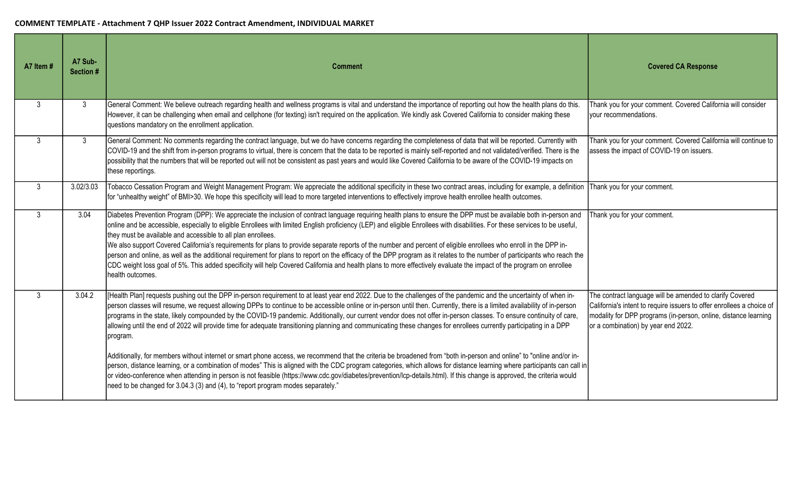| A7 Item #    | A7 Sub-<br>Section # | <b>Comment</b>                                                                                                                                                                                                                                                                                                                                                                                                                                                                                                                                                                                                                                                                                                                                                                                                                                                                                                                                                 | <b>Covered CA Response</b>                                                                                                                                                                                                                  |
|--------------|----------------------|----------------------------------------------------------------------------------------------------------------------------------------------------------------------------------------------------------------------------------------------------------------------------------------------------------------------------------------------------------------------------------------------------------------------------------------------------------------------------------------------------------------------------------------------------------------------------------------------------------------------------------------------------------------------------------------------------------------------------------------------------------------------------------------------------------------------------------------------------------------------------------------------------------------------------------------------------------------|---------------------------------------------------------------------------------------------------------------------------------------------------------------------------------------------------------------------------------------------|
| $\mathbf{3}$ | 3                    | General Comment: We believe outreach regarding health and wellness programs is vital and understand the importance of reporting out how the health plans do this.<br>However, it can be challenging when email and cellphone (for texting) isn't required on the application. We kindly ask Covered California to consider making these<br>questions mandatory on the enrollment application.                                                                                                                                                                                                                                                                                                                                                                                                                                                                                                                                                                  | Thank you for your comment. Covered California will consider<br>your recommendations.                                                                                                                                                       |
| $\mathbf{3}$ | 3 <sup>1</sup>       | General Comment: No comments regarding the contract language, but we do have concerns regarding the completeness of data that will be reported. Currently with<br>COVID-19 and the shift from in-person programs to virtual, there is concern that the data to be reported is mainly self-reported and not validated/verified. There is the<br>possibility that the numbers that will be reported out will not be consistent as past years and would like Covered California to be aware of the COVID-19 impacts on<br>these reportings.                                                                                                                                                                                                                                                                                                                                                                                                                       | Thank you for your comment. Covered California will continue to<br>assess the impact of COVID-19 on issuers.                                                                                                                                |
| $\mathbf{3}$ | 3.02/3.03            | Tobacco Cessation Program and Weight Management Program: We appreciate the additional specificity in these two contract areas, including for example, a definition<br>for "unhealthy weight" of BMI>30. We hope this specificity will lead to more targeted interventions to effectively improve health enrollee health outcomes.                                                                                                                                                                                                                                                                                                                                                                                                                                                                                                                                                                                                                              | Thank you for your comment.                                                                                                                                                                                                                 |
| $\mathbf{3}$ | 3.04                 | Diabetes Prevention Program (DPP): We appreciate the inclusion of contract language requiring health plans to ensure the DPP must be available both in-person and<br>online and be accessible, especially to eligible Enrollees with limited English proficiency (LEP) and eligible Enrollees with disabilities. For these services to be useful,<br>they must be available and accessible to all plan enrollees.<br>We also support Covered California's requirements for plans to provide separate reports of the number and percent of eligible enrollees who enroll in the DPP in-<br>person and online, as well as the additional requirement for plans to report on the efficacy of the DPP program as it relates to the number of participants who reach the<br>CDC weight loss goal of 5%. This added specificity will help Covered California and health plans to more effectively evaluate the impact of the program on enrollee<br>health outcomes. | Thank you for your comment.                                                                                                                                                                                                                 |
| $\mathbf{3}$ | 3.04.2               | [Health Plan] requests pushing out the DPP in-person requirement to at least year end 2022. Due to the challenges of the pandemic and the uncertainty of when in-<br>person classes will resume, we request allowing DPPs to continue to be accessible online or in-person until then. Currently, there is a limited availability of in-person<br>programs in the state, likely compounded by the COVID-19 pandemic. Additionally, our current vendor does not offer in-person classes. To ensure continuity of care,<br>allowing until the end of 2022 will provide time for adequate transitioning planning and communicating these changes for enrollees currently participating in a DPP<br>program.                                                                                                                                                                                                                                                       | The contract language will be amended to clarify Covered<br>California's intent to require issuers to offer enrollees a choice of<br>modality for DPP programs (in-person, online, distance learning<br>or a combination) by year end 2022. |
|              |                      | Additionally, for members without internet or smart phone access, we recommend that the criteria be broadened from "both in-person and online" to "online and/or in-<br>person, distance learning, or a combination of modes" This is aligned with the CDC program categories, which allows for distance learning where participants can call in<br>or video-conference when attending in person is not feasible (https://www.cdc.gov/diabetes/prevention/lcp-details.html). If this change is approved, the criteria would<br>need to be changed for 3.04.3 (3) and (4), to "report program modes separately."                                                                                                                                                                                                                                                                                                                                                |                                                                                                                                                                                                                                             |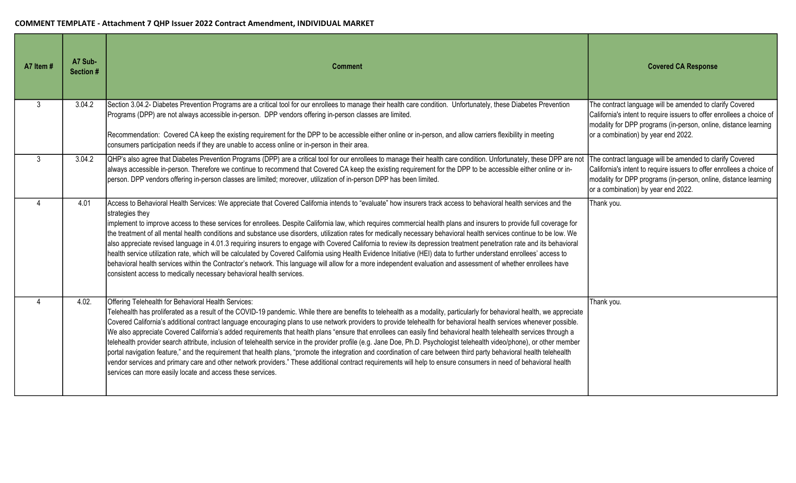| A7 Item #      | A7 Sub-<br>Section # | <b>Comment</b>                                                                                                                                                                                                                                                                                                                                                                                                                                                                                                                                                                                                                                                                                                                                                                                                                                                                                                                                                                                                                                                                                                                                                          | <b>Covered CA Response</b>                                                                                                                                                                                                                  |
|----------------|----------------------|-------------------------------------------------------------------------------------------------------------------------------------------------------------------------------------------------------------------------------------------------------------------------------------------------------------------------------------------------------------------------------------------------------------------------------------------------------------------------------------------------------------------------------------------------------------------------------------------------------------------------------------------------------------------------------------------------------------------------------------------------------------------------------------------------------------------------------------------------------------------------------------------------------------------------------------------------------------------------------------------------------------------------------------------------------------------------------------------------------------------------------------------------------------------------|---------------------------------------------------------------------------------------------------------------------------------------------------------------------------------------------------------------------------------------------|
| 3              | 3.04.2               | Section 3.04.2- Diabetes Prevention Programs are a critical tool for our enrollees to manage their health care condition. Unfortunately, these Diabetes Prevention<br>Programs (DPP) are not always accessible in-person. DPP vendors offering in-person classes are limited.<br>Recommendation: Covered CA keep the existing requirement for the DPP to be accessible either online or in-person, and allow carriers flexibility in meeting                                                                                                                                                                                                                                                                                                                                                                                                                                                                                                                                                                                                                                                                                                                            | The contract language will be amended to clarify Covered<br>California's intent to require issuers to offer enrollees a choice of<br>modality for DPP programs (in-person, online, distance learning<br>or a combination) by year end 2022. |
| $\mathbf{3}$   | 3.04.2               | consumers participation needs if they are unable to access online or in-person in their area.<br>QHP's also agree that Diabetes Prevention Programs (DPP) are a critical tool for our enrollees to manage their health care condition. Unfortunately, these DPP are not<br>always accessible in-person. Therefore we continue to recommend that Covered CA keep the existing requirement for the DPP to be accessible either online or in-<br>person. DPP vendors offering in-person classes are limited; moreover, utilization of in-person DPP has been limited.                                                                                                                                                                                                                                                                                                                                                                                                                                                                                                                                                                                                      | The contract language will be amended to clarify Covered<br>California's intent to require issuers to offer enrollees a choice of<br>modality for DPP programs (in-person, online, distance learning                                        |
| $\Delta$       | 4.01                 | Access to Behavioral Health Services: We appreciate that Covered California intends to "evaluate" how insurers track access to behavioral health services and the<br>strategies they<br>implement to improve access to these services for enrollees. Despite California law, which requires commercial health plans and insurers to provide full coverage for<br>the treatment of all mental health conditions and substance use disorders, utilization rates for medically necessary behavioral health services continue to be low. We<br>also appreciate revised language in 4.01.3 requiring insurers to engage with Covered California to review its depression treatment penetration rate and its behavioral<br>health service utilization rate, which will be calculated by Covered California using Health Evidence Initiative (HEI) data to further understand enrollees' access to<br>behavioral health services within the Contractor's network. This language will allow for a more independent evaluation and assessment of whether enrollees have<br>consistent access to medically necessary behavioral health services.                                  | or a combination) by year end 2022.<br>Thank you.                                                                                                                                                                                           |
| $\overline{4}$ | 4.02.                | Offering Telehealth for Behavioral Health Services:<br>Telehealth has proliferated as a result of the COVID-19 pandemic. While there are benefits to telehealth as a modality, particularly for behavioral health, we appreciate<br>Covered California's additional contract language encouraging plans to use network providers to provide telehealth for behavioral health services whenever possible.<br>We also appreciate Covered California's added requirements that health plans "ensure that enrollees can easily find behavioral health telehealth services through a<br>telehealth provider search attribute, inclusion of telehealth service in the provider profile (e.g. Jane Doe, Ph.D. Psychologist telehealth video/phone), or other member<br>portal navigation feature," and the requirement that health plans, "promote the integration and coordination of care between third party behavioral health telehealth<br>vendor services and primary care and other network providers." These additional contract requirements will help to ensure consumers in need of behavioral health<br>services can more easily locate and access these services. | Thank you.                                                                                                                                                                                                                                  |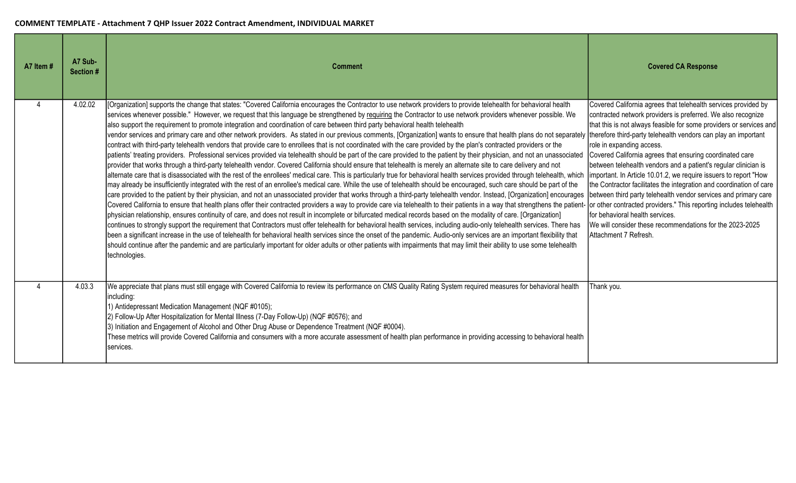| A7 Item # | A7 Sub-<br><b>Section#</b> | <b>Comment</b>                                                                                                                                                                                                                                                                                                                                                                                                                                                                                                                                                                                                                                                                                                                                                                                                                                                                                                                                                                                                                                                                                                                                                                                                                                                                                                                                                                                                                                                                                                                                                                                                                                                                                                                                                                                                                                                                                                                                                                                                                                                                                                                                                                                                                                                                                                                                                                                                                                                                                                                                                                                                                   | <b>Covered CA Response</b>                                                                                                                                                                                                                                                                                                                                                                                                                                                                                                                                                                                                                                                                                                                                                                                                                      |
|-----------|----------------------------|----------------------------------------------------------------------------------------------------------------------------------------------------------------------------------------------------------------------------------------------------------------------------------------------------------------------------------------------------------------------------------------------------------------------------------------------------------------------------------------------------------------------------------------------------------------------------------------------------------------------------------------------------------------------------------------------------------------------------------------------------------------------------------------------------------------------------------------------------------------------------------------------------------------------------------------------------------------------------------------------------------------------------------------------------------------------------------------------------------------------------------------------------------------------------------------------------------------------------------------------------------------------------------------------------------------------------------------------------------------------------------------------------------------------------------------------------------------------------------------------------------------------------------------------------------------------------------------------------------------------------------------------------------------------------------------------------------------------------------------------------------------------------------------------------------------------------------------------------------------------------------------------------------------------------------------------------------------------------------------------------------------------------------------------------------------------------------------------------------------------------------------------------------------------------------------------------------------------------------------------------------------------------------------------------------------------------------------------------------------------------------------------------------------------------------------------------------------------------------------------------------------------------------------------------------------------------------------------------------------------------------|-------------------------------------------------------------------------------------------------------------------------------------------------------------------------------------------------------------------------------------------------------------------------------------------------------------------------------------------------------------------------------------------------------------------------------------------------------------------------------------------------------------------------------------------------------------------------------------------------------------------------------------------------------------------------------------------------------------------------------------------------------------------------------------------------------------------------------------------------|
|           | 4.02.02                    | [Organization] supports the change that states: "Covered California encourages the Contractor to use network providers to provide telehealth for behavioral health<br>services whenever possible." However, we request that this language be strengthened by requiring the Contractor to use network providers whenever possible. We<br>also support the requirement to promote integration and coordination of care between third party behavioral health telehealth<br>vendor services and primary care and other network providers. As stated in our previous comments, [Organization] wants to ensure that health plans do not separately<br>contract with third-party telehealth vendors that provide care to enrollees that is not coordinated with the care provided by the plan's contracted providers or the<br>patients' treating providers. Professional services provided via telehealth should be part of the care provided to the patient by their physician, and not an unassociated<br>provider that works through a third-party telehealth vendor. Covered California should ensure that telehealth is merely an alternate site to care delivery and not<br>alternate care that is disassociated with the rest of the enrollees' medical care. This is particularly true for behavioral health services provided through telehealth, which<br>may already be insufficiently integrated with the rest of an enrollee's medical care. While the use of telehealth should be encouraged, such care should be part of the<br>care provided to the patient by their physician, and not an unassociated provider that works through a third-party telehealth vendor. Instead, [Organization] encourages<br>Covered California to ensure that health plans offer their contracted providers a way to provide care via telehealth to their patients in a way that strengthens the patient-<br>physician relationship, ensures continuity of care, and does not result in incomplete or bifurcated medical records based on the modality of care. [Organization]<br>continues to strongly support the requirement that Contractors must offer telehealth for behavioral health services, including audio-only telehealth services. There has<br>been a significant increase in the use of telehealth for behavioral health services since the onset of the pandemic. Audio-only services are an important flexibility that<br>should continue after the pandemic and are particularly important for older adults or other patients with impairments that may limit their ability to use some telehealth<br>technologies. | Covered California agrees that telehealth services provided by<br>contracted network providers is preferred. We also recognize<br>that this is not always feasible for some providers or services and<br>therefore third-party telehealth vendors can play an important<br>role in expanding access.<br>Covered California agrees that ensuring coordinated care<br>between telehealth vendors and a patient's regular clinician is<br>important. In Article 10.01.2, we require issuers to report "How<br>the Contractor facilitates the integration and coordination of care<br>between third party telehealth vendor services and primary care<br>or other contracted providers." This reporting includes telehealth<br>for behavioral health services.<br>We will consider these recommendations for the 2023-2025<br>Attachment 7 Refresh. |
|           | 4.03.3                     | We appreciate that plans must still engage with Covered California to review its performance on CMS Quality Rating System required measures for behavioral health<br>including:<br>1) Antidepressant Medication Management (NQF #0105);<br>2) Follow-Up After Hospitalization for Mental Illness (7-Day Follow-Up) (NQF #0576); and<br>3) Initiation and Engagement of Alcohol and Other Drug Abuse or Dependence Treatment (NQF #0004).<br>These metrics will provide Covered California and consumers with a more accurate assessment of health plan performance in providing accessing to behavioral health<br>services.                                                                                                                                                                                                                                                                                                                                                                                                                                                                                                                                                                                                                                                                                                                                                                                                                                                                                                                                                                                                                                                                                                                                                                                                                                                                                                                                                                                                                                                                                                                                                                                                                                                                                                                                                                                                                                                                                                                                                                                                      | Thank you.                                                                                                                                                                                                                                                                                                                                                                                                                                                                                                                                                                                                                                                                                                                                                                                                                                      |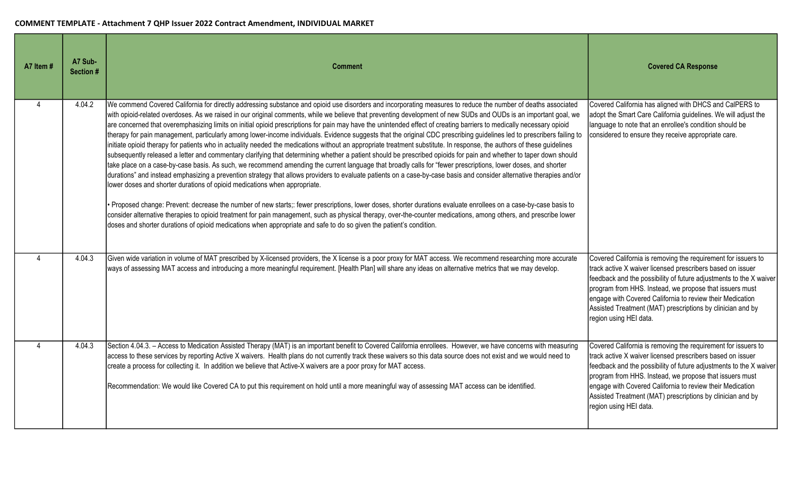| A7 Item #                 | A7 Sub-<br>Section # | <b>Comment</b>                                                                                                                                                                                                                                                                                                                                                                                                                                                                                                                                                                                                                                                                                                                                                                                                                                                                                                                                                                                                                                                                                                                                                                                                                                                                                                                                                                                                                                                                                                                                                                                                                                                                                                                                                                                                                                                                                                            | <b>Covered CA Response</b>                                                                                                                                                                                                                                                                                                                                                                                        |
|---------------------------|----------------------|---------------------------------------------------------------------------------------------------------------------------------------------------------------------------------------------------------------------------------------------------------------------------------------------------------------------------------------------------------------------------------------------------------------------------------------------------------------------------------------------------------------------------------------------------------------------------------------------------------------------------------------------------------------------------------------------------------------------------------------------------------------------------------------------------------------------------------------------------------------------------------------------------------------------------------------------------------------------------------------------------------------------------------------------------------------------------------------------------------------------------------------------------------------------------------------------------------------------------------------------------------------------------------------------------------------------------------------------------------------------------------------------------------------------------------------------------------------------------------------------------------------------------------------------------------------------------------------------------------------------------------------------------------------------------------------------------------------------------------------------------------------------------------------------------------------------------------------------------------------------------------------------------------------------------|-------------------------------------------------------------------------------------------------------------------------------------------------------------------------------------------------------------------------------------------------------------------------------------------------------------------------------------------------------------------------------------------------------------------|
| 4                         | 4.04.2               | We commend Covered California for directly addressing substance and opioid use disorders and incorporating measures to reduce the number of deaths associated<br>with opioid-related overdoses. As we raised in our original comments, while we believe that preventing development of new SUDs and OUDs is an important goal, we<br>are concerned that overemphasizing limits on initial opioid prescriptions for pain may have the unintended effect of creating barriers to medically necessary opioid<br>therapy for pain management, particularly among lower-income individuals. Evidence suggests that the original CDC prescribing guidelines led to prescribers failing to<br>initiate opioid therapy for patients who in actuality needed the medications without an appropriate treatment substitute. In response, the authors of these guidelines<br>subsequently released a letter and commentary clarifying that determining whether a patient should be prescribed opioids for pain and whether to taper down should<br>take place on a case-by-case basis. As such, we recommend amending the current language that broadly calls for "fewer prescriptions, lower doses, and shorter<br>durations" and instead emphasizing a prevention strategy that allows providers to evaluate patients on a case-by-case basis and consider alternative therapies and/or<br>lower doses and shorter durations of opioid medications when appropriate.<br>Proposed change: Prevent: decrease the number of new starts;: fewer prescriptions, lower doses, shorter durations evaluate enrollees on a case-by-case basis to<br>consider alternative therapies to opioid treatment for pain management, such as physical therapy, over-the-counter medications, among others, and prescribe lower<br>doses and shorter durations of opioid medications when appropriate and safe to do so given the patient's condition. | Covered California has aligned with DHCS and CalPERS to<br>adopt the Smart Care California guidelines. We will adjust the<br>language to note that an enrollee's condition should be<br>considered to ensure they receive appropriate care.                                                                                                                                                                       |
| $\boldsymbol{\varLambda}$ | 4.04.3               | Given wide variation in volume of MAT prescribed by X-licensed providers, the X license is a poor proxy for MAT access. We recommend researching more accurate<br>ways of assessing MAT access and introducing a more meaningful requirement. [Health Plan] will share any ideas on alternative metrics that we may develop.                                                                                                                                                                                                                                                                                                                                                                                                                                                                                                                                                                                                                                                                                                                                                                                                                                                                                                                                                                                                                                                                                                                                                                                                                                                                                                                                                                                                                                                                                                                                                                                              | Covered California is removing the requirement for issuers to<br>track active X waiver licensed prescribers based on issuer<br>feedback and the possibility of future adjustments to the X waiver<br>program from HHS. Instead, we propose that issuers must<br>engage with Covered California to review their Medication<br>Assisted Treatment (MAT) prescriptions by clinician and by<br>region using HEI data. |
| 4                         | 4.04.3               | Section 4.04.3. - Access to Medication Assisted Therapy (MAT) is an important benefit to Covered California enrollees. However, we have concerns with measuring<br>access to these services by reporting Active X waivers. Health plans do not currently track these waivers so this data source does not exist and we would need to<br>create a process for collecting it. In addition we believe that Active-X waivers are a poor proxy for MAT access.<br>Recommendation: We would like Covered CA to put this requirement on hold until a more meaningful way of assessing MAT access can be identified.                                                                                                                                                                                                                                                                                                                                                                                                                                                                                                                                                                                                                                                                                                                                                                                                                                                                                                                                                                                                                                                                                                                                                                                                                                                                                                              | Covered California is removing the requirement for issuers to<br>track active X waiver licensed prescribers based on issuer<br>feedback and the possibility of future adjustments to the X waiver<br>program from HHS. Instead, we propose that issuers must<br>engage with Covered California to review their Medication<br>Assisted Treatment (MAT) prescriptions by clinician and by<br>region using HEI data. |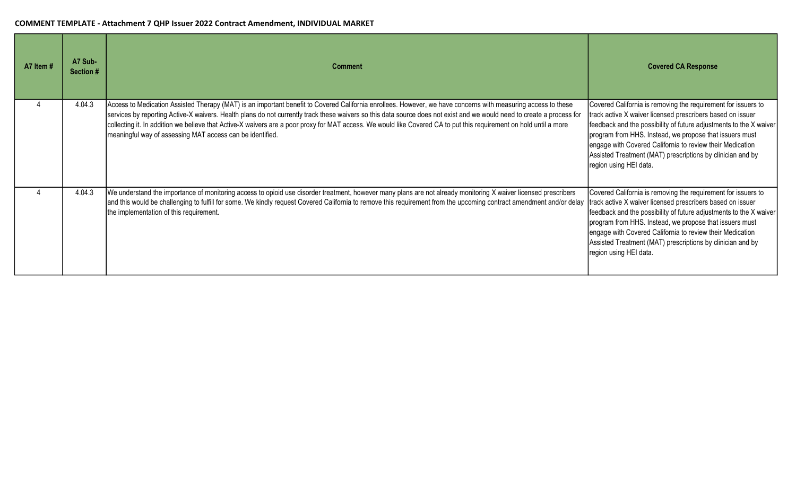| A7 Item# | A7 Sub-<br>Section # | <b>Comment</b>                                                                                                                                                                                                                                                                                                                                                                                                                                                                                                                                                             | <b>Covered CA Response</b>                                                                                                                                                                                                                                                                                                                                                                                        |
|----------|----------------------|----------------------------------------------------------------------------------------------------------------------------------------------------------------------------------------------------------------------------------------------------------------------------------------------------------------------------------------------------------------------------------------------------------------------------------------------------------------------------------------------------------------------------------------------------------------------------|-------------------------------------------------------------------------------------------------------------------------------------------------------------------------------------------------------------------------------------------------------------------------------------------------------------------------------------------------------------------------------------------------------------------|
|          | 4.04.3               | Access to Medication Assisted Therapy (MAT) is an important benefit to Covered California enrollees. However, we have concerns with measuring access to these<br>services by reporting Active-X waivers. Health plans do not currently track these waivers so this data source does not exist and we would need to create a process for<br>collecting it. In addition we believe that Active-X waivers are a poor proxy for MAT access. We would like Covered CA to put this requirement on hold until a more<br>meaningful way of assessing MAT access can be identified. | Covered California is removing the requirement for issuers to<br>track active X waiver licensed prescribers based on issuer<br>feedback and the possibility of future adjustments to the X waiver<br>program from HHS. Instead, we propose that issuers must<br>engage with Covered California to review their Medication<br>Assisted Treatment (MAT) prescriptions by clinician and by<br>region using HEI data. |
|          | 4.04.3               | We understand the importance of monitoring access to opioid use disorder treatment, however many plans are not already monitoring X waiver licensed prescribers<br>and this would be challenging to fulfill for some. We kindly request Covered California to remove this requirement from the upcoming contract amendment and/or delay<br>the implementation of this requirement.                                                                                                                                                                                         | Covered California is removing the requirement for issuers to<br>track active X waiver licensed prescribers based on issuer<br>feedback and the possibility of future adjustments to the X waiver<br>program from HHS. Instead, we propose that issuers must<br>engage with Covered California to review their Medication<br>Assisted Treatment (MAT) prescriptions by clinician and by<br>region using HEI data. |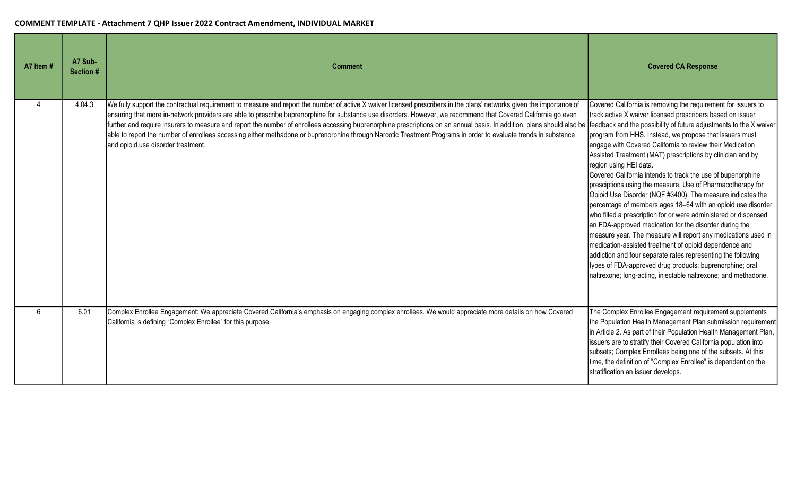| A7 Item # | A7 Sub-<br>Section # | <b>Comment</b>                                                                                                                                                                                                                                                                                                                                                                                                                                                                                                                                                                                                                                                                                                            | <b>Covered CA Response</b>                                                                                                                                                                                                                                                                                                                                                                                                                                                                                                                                                                                                                                                                                                                                                                                                                                                                                                                                                                                                                                                                                                         |
|-----------|----------------------|---------------------------------------------------------------------------------------------------------------------------------------------------------------------------------------------------------------------------------------------------------------------------------------------------------------------------------------------------------------------------------------------------------------------------------------------------------------------------------------------------------------------------------------------------------------------------------------------------------------------------------------------------------------------------------------------------------------------------|------------------------------------------------------------------------------------------------------------------------------------------------------------------------------------------------------------------------------------------------------------------------------------------------------------------------------------------------------------------------------------------------------------------------------------------------------------------------------------------------------------------------------------------------------------------------------------------------------------------------------------------------------------------------------------------------------------------------------------------------------------------------------------------------------------------------------------------------------------------------------------------------------------------------------------------------------------------------------------------------------------------------------------------------------------------------------------------------------------------------------------|
| Δ         | 4.04.3               | We fully support the contractual requirement to measure and report the number of active X waiver licensed prescribers in the plans' networks given the importance of<br>ensuring that more in-network providers are able to prescribe buprenorphine for substance use disorders. However, we recommend that Covered California go even<br>further and require insurers to measure and report the number of enrollees accessing buprenorphine prescriptions on an annual basis. In addition, plans should also be<br>able to report the number of enrollees accessing either methadone or buprenorphine through Narcotic Treatment Programs in order to evaluate trends in substance<br>and opioid use disorder treatment. | Covered California is removing the requirement for issuers to<br>track active X waiver licensed prescribers based on issuer<br>feedback and the possibility of future adjustments to the X waiver<br>program from HHS. Instead, we propose that issuers must<br>engage with Covered California to review their Medication<br>Assisted Treatment (MAT) prescriptions by clinician and by<br>region using HEI data.<br>Covered California intends to track the use of bupenorphine<br>presciptions using the measure, Use of Pharmacotherapy for<br>Opioid Use Disorder (NQF #3400). The measure indicates the<br>percentage of members ages 18-64 with an opioid use disorder<br>who filled a prescription for or were administered or dispensed<br>an FDA-approved medication for the disorder during the<br>measure year. The measure will report any medications used in<br>medication-assisted treatment of opioid dependence and<br>addiction and four separate rates representing the following<br>types of FDA-approved drug products: buprenorphine; oral<br>naltrexone; long-acting, injectable naltrexone; and methadone. |
| 6         | 6.01                 | Complex Enrollee Engagement: We appreciate Covered California's emphasis on engaging complex enrollees. We would appreciate more details on how Covered<br>California is defining "Complex Enrollee" for this purpose.                                                                                                                                                                                                                                                                                                                                                                                                                                                                                                    | The Complex Enrollee Engagement requirement supplements<br>the Population Health Management Plan submission requirement<br>in Article 2. As part of their Population Health Management Plan,<br>issuers are to stratify their Covered California population into<br>subsets; Complex Enrollees being one of the subsets. At this<br>time, the definition of "Complex Enrollee" is dependent on the<br>stratification an issuer develops.                                                                                                                                                                                                                                                                                                                                                                                                                                                                                                                                                                                                                                                                                           |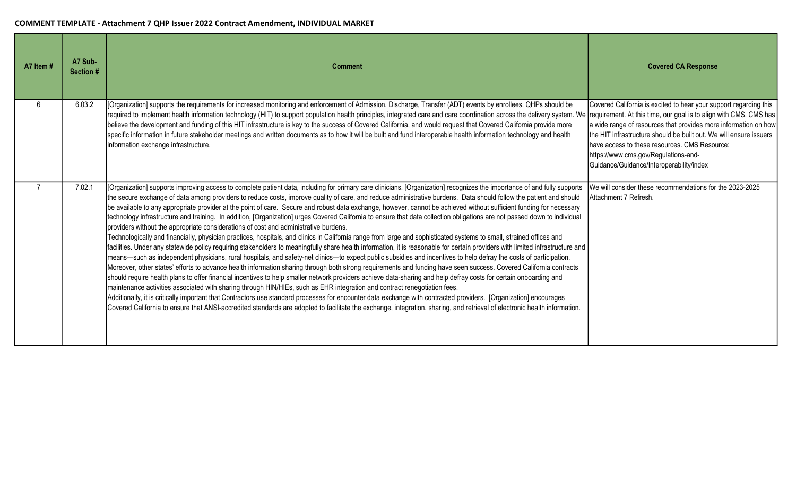| A7 Item # | A7 Sub-<br>Section # | <b>Comment</b>                                                                                                                                                                                                                                                                                                                                                                                                                                                                                                                                                                                                                                                                                                                                                                                                                                                                                                                                                                                                                                                                                                                                                                                                                                                                                                                                                                                                                                                                                                                                                                                                                                                                                                                                                                                                                                                                                                                                                                                                                                                                                                                                        | <b>Covered CA Response</b>                                                                                                                                                                                                                                                                                                                      |
|-----------|----------------------|-------------------------------------------------------------------------------------------------------------------------------------------------------------------------------------------------------------------------------------------------------------------------------------------------------------------------------------------------------------------------------------------------------------------------------------------------------------------------------------------------------------------------------------------------------------------------------------------------------------------------------------------------------------------------------------------------------------------------------------------------------------------------------------------------------------------------------------------------------------------------------------------------------------------------------------------------------------------------------------------------------------------------------------------------------------------------------------------------------------------------------------------------------------------------------------------------------------------------------------------------------------------------------------------------------------------------------------------------------------------------------------------------------------------------------------------------------------------------------------------------------------------------------------------------------------------------------------------------------------------------------------------------------------------------------------------------------------------------------------------------------------------------------------------------------------------------------------------------------------------------------------------------------------------------------------------------------------------------------------------------------------------------------------------------------------------------------------------------------------------------------------------------------|-------------------------------------------------------------------------------------------------------------------------------------------------------------------------------------------------------------------------------------------------------------------------------------------------------------------------------------------------|
| ĥ         | 6.03.2               | [Organization] supports the requirements for increased monitoring and enforcement of Admission, Discharge, Transfer (ADT) events by enrollees. QHPs should be<br>required to implement health information technology (HIT) to support population health principles, integrated care and care coordination across the delivery system. We requirement. At this time, our goal is to align with C<br>believe the development and funding of this HIT infrastructure is key to the success of Covered California, and would request that Covered California provide more<br>specific information in future stakeholder meetings and written documents as to how it will be built and fund interoperable health information technology and health<br>information exchange infrastructure.                                                                                                                                                                                                                                                                                                                                                                                                                                                                                                                                                                                                                                                                                                                                                                                                                                                                                                                                                                                                                                                                                                                                                                                                                                                                                                                                                                 | Covered California is excited to hear your support regarding this<br>a wide range of resources that provides more information on how<br>the HIT infrastructure should be built out. We will ensure issuers<br>have access to these resources. CMS Resource:<br>https://www.cms.gov/Regulations-and-<br>Guidance/Guidance/Interoperability/index |
|           | 7.02.1               | [Organization] supports improving access to complete patient data, including for primary care clinicians. [Organization] recognizes the importance of and fully supports<br>the secure exchange of data among providers to reduce costs, improve quality of care, and reduce administrative burdens. Data should follow the patient and should<br>be available to any appropriate provider at the point of care. Secure and robust data exchange, however, cannot be achieved without sufficient funding for necessary<br>technology infrastructure and training. In addition, [Organization] urges Covered California to ensure that data collection obligations are not passed down to individual<br>providers without the appropriate considerations of cost and administrative burdens.<br>Technologically and financially, physician practices, hospitals, and clinics in California range from large and sophisticated systems to small, strained offices and<br>facilities. Under any statewide policy requiring stakeholders to meaningfully share health information, it is reasonable for certain providers with limited infrastructure and<br>means—such as independent physicians, rural hospitals, and safety-net clinics—to expect public subsidies and incentives to help defray the costs of participation.<br>Moreover, other states' efforts to advance health information sharing through both strong requirements and funding have seen success. Covered California contracts<br>should require health plans to offer financial incentives to help smaller network providers achieve data-sharing and help defray costs for certain onboarding and<br>maintenance activities associated with sharing through HIN/HIEs, such as EHR integration and contract renegotiation fees.<br>Additionally, it is critically important that Contractors use standard processes for encounter data exchange with contracted providers. [Organization] encourages<br>Covered California to ensure that ANSI-accredited standards are adopted to facilitate the exchange, integration, sharing, and retrieval of electronic health information. | We will consider these recommendations for the 2023-2025<br>Attachment 7 Refresh.                                                                                                                                                                                                                                                               |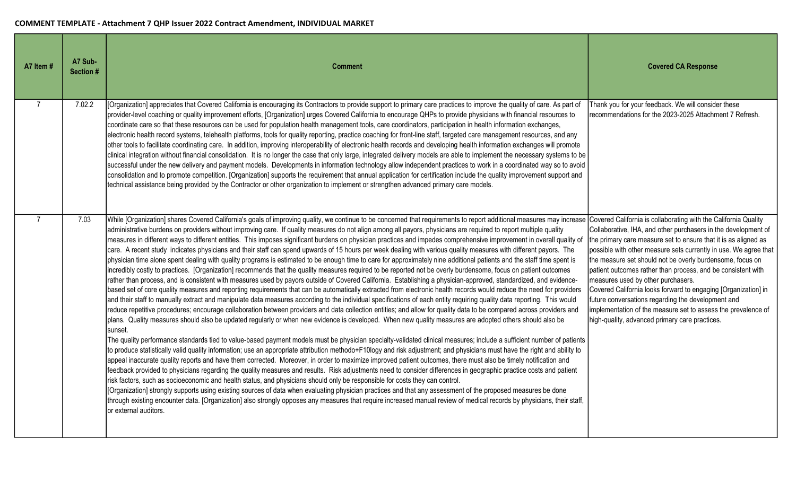| A7 Item # | A7 Sub-<br>Section # | <b>Comment</b>                                                                                                                                                                                                                                                                                                                                                                                                                                                                                                                                                                                                                                                                                                                                                                                                                                                                                                                                                                                                                                                                                                                                                                                                                                                                                                                                                                                                                                                                                                                                                                                                                                                                                                                                                                                                                                                                                                                                                                                                                                                                                                                                                                                                                                                                                                                                                                                                                                                                                                                                                                                                                                                                                                                                                                                                                                                                                                                                                                                                                                                                                                | <b>Covered CA Response</b>                                                                                                                                                                                                                                                                                                                                                                                                                                                                                                                                                                                                                                                             |
|-----------|----------------------|---------------------------------------------------------------------------------------------------------------------------------------------------------------------------------------------------------------------------------------------------------------------------------------------------------------------------------------------------------------------------------------------------------------------------------------------------------------------------------------------------------------------------------------------------------------------------------------------------------------------------------------------------------------------------------------------------------------------------------------------------------------------------------------------------------------------------------------------------------------------------------------------------------------------------------------------------------------------------------------------------------------------------------------------------------------------------------------------------------------------------------------------------------------------------------------------------------------------------------------------------------------------------------------------------------------------------------------------------------------------------------------------------------------------------------------------------------------------------------------------------------------------------------------------------------------------------------------------------------------------------------------------------------------------------------------------------------------------------------------------------------------------------------------------------------------------------------------------------------------------------------------------------------------------------------------------------------------------------------------------------------------------------------------------------------------------------------------------------------------------------------------------------------------------------------------------------------------------------------------------------------------------------------------------------------------------------------------------------------------------------------------------------------------------------------------------------------------------------------------------------------------------------------------------------------------------------------------------------------------------------------------------------------------------------------------------------------------------------------------------------------------------------------------------------------------------------------------------------------------------------------------------------------------------------------------------------------------------------------------------------------------------------------------------------------------------------------------------------------------|----------------------------------------------------------------------------------------------------------------------------------------------------------------------------------------------------------------------------------------------------------------------------------------------------------------------------------------------------------------------------------------------------------------------------------------------------------------------------------------------------------------------------------------------------------------------------------------------------------------------------------------------------------------------------------------|
|           | 7.02.2               | [Organization] appreciates that Covered California is encouraging its Contractors to provide support to primary care practices to improve the quality of care. As part of<br>provider-level coaching or quality improvement efforts, [Organization] urges Covered California to encourage QHPs to provide physicians with financial resources to<br>coordinate care so that these resources can be used for population health management tools, care coordinators, participation in health information exchanges,<br>electronic health record systems, telehealth platforms, tools for quality reporting, practice coaching for front-line staff, targeted care management resources, and any<br>other tools to facilitate coordinating care. In addition, improving interoperability of electronic health records and developing health information exchanges will promote<br>clinical integration without financial consolidation. It is no longer the case that only large, integrated delivery models are able to implement the necessary systems to be<br>successful under the new delivery and payment models. Developments in information technology allow independent practices to work in a coordinated way so to avoid<br>consolidation and to promote competition. [Organization] supports the requirement that annual application for certification include the quality improvement support and<br>technical assistance being provided by the Contractor or other organization to implement or strengthen advanced primary care models.                                                                                                                                                                                                                                                                                                                                                                                                                                                                                                                                                                                                                                                                                                                                                                                                                                                                                                                                                                                                                                                                                                                                                                                                                                                                                                                                                                                                                                                                                                                                                           | Thank you for your feedback. We will consider these<br>recommendations for the 2023-2025 Attachment 7 Refresh.                                                                                                                                                                                                                                                                                                                                                                                                                                                                                                                                                                         |
|           | 7.03                 | While [Organization] shares Covered California's goals of improving quality, we continue to be concerned that requirements to report additional measures may increase<br>administrative burdens on providers without improving care. If quality measures do not align among all payors, physicians are required to report multiple quality<br>measures in different ways to different entities. This imposes significant burdens on physician practices and impedes comprehensive improvement in overall quality of<br>care. A recent study indicates physicians and their staff can spend upwards of 15 hours per week dealing with various quality measures with different payors. The<br>physician time alone spent dealing with quality programs is estimated to be enough time to care for approximately nine additional patients and the staff time spent is<br>incredibly costly to practices. [Organization] recommends that the quality measures required to be reported not be overly burdensome, focus on patient outcomes<br>rather than process, and is consistent with measures used by payors outside of Covered California. Establishing a physician-approved, standardized, and evidence-<br>based set of core quality measures and reporting requirements that can be automatically extracted from electronic health records would reduce the need for providers<br>and their staff to manually extract and manipulate data measures according to the individual specifications of each entity requiring quality data reporting. This would<br>reduce repetitive procedures; encourage collaboration between providers and data collection entities; and allow for quality data to be compared across providers and<br>plans. Quality measures should also be updated regularly or when new evidence is developed. When new quality measures are adopted others should also be<br>sunset.<br>The quality performance standards tied to value-based payment models must be physician specialty-validated clinical measures; include a sufficient number of patients<br>to produce statistically valid quality information; use an appropriate attribution methodo+F10logy and risk adjustment; and physicians must have the right and ability to<br>appeal inaccurate quality reports and have them corrected. Moreover, in order to maximize improved patient outcomes, there must also be timely notification and<br>feedback provided to physicians regarding the quality measures and results. Risk adjustments need to consider differences in geographic practice costs and patient<br>risk factors, such as socioeconomic and health status, and physicians should only be responsible for costs they can control.<br>[Organization] strongly supports using existing sources of data when evaluating physician practices and that any assessment of the proposed measures be done<br>through existing encounter data. [Organization] also strongly opposes any measures that require increased manual review of medical records by physicians, their staff,<br>or external auditors. | Covered California is collaborating with the California Quality<br>Collaborative, IHA, and other purchasers in the development of<br>the primary care measure set to ensure that it is as aligned as<br>possible with other measure sets currently in use. We agree that<br>the measure set should not be overly burdensome, focus on<br>patient outcomes rather than process, and be consistent with<br>measures used by other purchasers.<br>Covered California looks forward to engaging [Organization] in<br>future conversations regarding the development and<br>implementation of the measure set to assess the prevalence of<br>high-quality, advanced primary care practices. |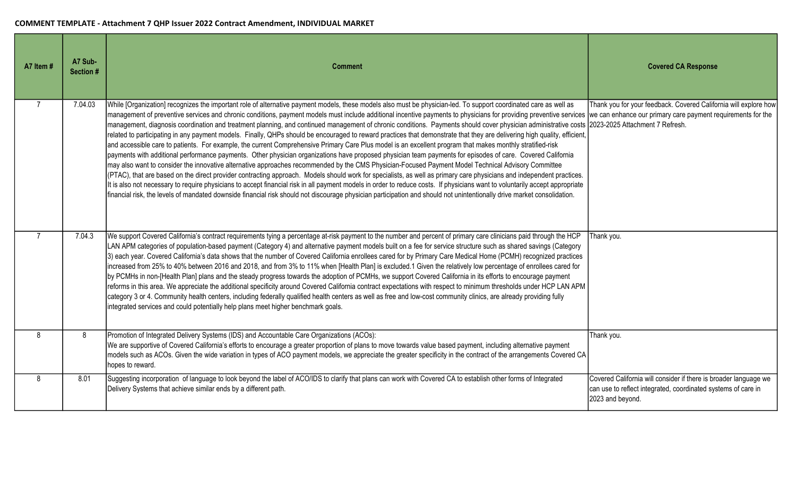| A7 Item # | A7 Sub-<br>Section # | <b>Comment</b>                                                                                                                                                                                                                                                                                                                                                                                                                                                                                                                                                                                                                                                                                                                                                                                                                                                                                                                                                                                                                                                                                                                                                                                                                                                                                                                                                                                                                                                                                                                                                                                                                                                                                                                                                                                              | <b>Covered CA Response</b>                                                                                                                            |
|-----------|----------------------|-------------------------------------------------------------------------------------------------------------------------------------------------------------------------------------------------------------------------------------------------------------------------------------------------------------------------------------------------------------------------------------------------------------------------------------------------------------------------------------------------------------------------------------------------------------------------------------------------------------------------------------------------------------------------------------------------------------------------------------------------------------------------------------------------------------------------------------------------------------------------------------------------------------------------------------------------------------------------------------------------------------------------------------------------------------------------------------------------------------------------------------------------------------------------------------------------------------------------------------------------------------------------------------------------------------------------------------------------------------------------------------------------------------------------------------------------------------------------------------------------------------------------------------------------------------------------------------------------------------------------------------------------------------------------------------------------------------------------------------------------------------------------------------------------------------|-------------------------------------------------------------------------------------------------------------------------------------------------------|
|           | 7.04.03              | While [Organization] recognizes the important role of alternative payment models, these models also must be physician-led. To support coordinated care as well as<br>management of preventive services and chronic conditions, payment models must include additional incentive payments to physicians for providing preventive services we can enhance our primary care payment requirements for t<br>management, diagnosis coordination and treatment planning, and continued management of chronic conditions. Payments should cover physician administrative costs 2023-2025 Attachment 7 Refresh.<br>related to participating in any payment models. Finally, QHPs should be encouraged to reward practices that demonstrate that they are delivering high quality, efficient,<br>and accessible care to patients. For example, the current Comprehensive Primary Care Plus model is an excellent program that makes monthly stratified-risk<br>payments with additional performance payments. Other physician organizations have proposed physician team payments for episodes of care. Covered California<br>may also want to consider the innovative alternative approaches recommended by the CMS Physician-Focused Payment Model Technical Advisory Committee<br>(PTAC), that are based on the direct provider contracting approach. Models should work for specialists, as well as primary care physicians and independent practices.<br>It is also not necessary to require physicians to accept financial risk in all payment models in order to reduce costs. If physicians want to voluntarily accept appropriate<br>financial risk, the levels of mandated downside financial risk should not discourage physician participation and should not unintentionally drive market consolidation. | Thank you for your feedback. Covered California will explore how                                                                                      |
|           | 7.04.3               | We support Covered California's contract requirements tying a percentage at-risk payment to the number and percent of primary care clinicians paid through the HCP<br>LAN APM categories of population-based payment (Category 4) and alternative payment models built on a fee for service structure such as shared savings (Category<br>3) each year. Covered California's data shows that the number of Covered California enrollees cared for by Primary Care Medical Home (PCMH) recognized practices<br>increased from 25% to 40% between 2016 and 2018, and from 3% to 11% when [Health Plan] is excluded.1 Given the relatively low percentage of enrollees cared for<br>by PCMHs in non-[Health Plan] plans and the steady progress towards the adoption of PCMHs, we support Covered California in its efforts to encourage payment<br>reforms in this area. We appreciate the additional specificity around Covered California contract expectations with respect to minimum thresholds under HCP LAN APM<br>category 3 or 4. Community health centers, including federally qualified health centers as well as free and low-cost community clinics, are already providing fully<br>integrated services and could potentially help plans meet higher benchmark goals.                                                                                                                                                                                                                                                                                                                                                                                                                                                                                                                            | Thank you.                                                                                                                                            |
| 8         | 8                    | Promotion of Integrated Delivery Systems (IDS) and Accountable Care Organizations (ACOs):<br>We are supportive of Covered California's efforts to encourage a greater proportion of plans to move towards value based payment, including alternative payment<br>models such as ACOs. Given the wide variation in types of ACO payment models, we appreciate the greater specificity in the contract of the arrangements Covered CA<br>hopes to reward.                                                                                                                                                                                                                                                                                                                                                                                                                                                                                                                                                                                                                                                                                                                                                                                                                                                                                                                                                                                                                                                                                                                                                                                                                                                                                                                                                      | Thank you.                                                                                                                                            |
| 8         | 8.01                 | Suggesting incorporation of language to look beyond the label of ACO/IDS to clarify that plans can work with Covered CA to establish other forms of Integrated<br>Delivery Systems that achieve similar ends by a different path.                                                                                                                                                                                                                                                                                                                                                                                                                                                                                                                                                                                                                                                                                                                                                                                                                                                                                                                                                                                                                                                                                                                                                                                                                                                                                                                                                                                                                                                                                                                                                                           | Covered California will consider if there is broader language we<br>can use to reflect integrated, coordinated systems of care in<br>2023 and beyond. |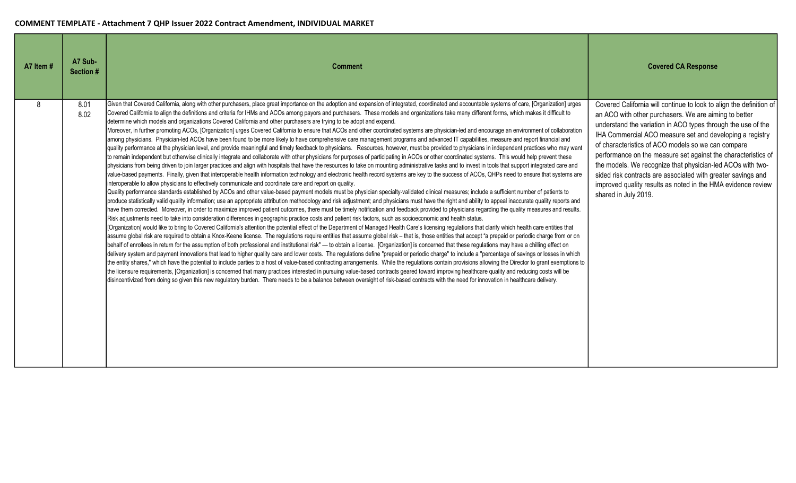| A7 Item # | A7 Sub-<br>Section # | <b>Comment</b>                                                                                                                                                                                                                                                                                                                                                                                                                                                                                                                                                                                                                                                                                                                                                                                                                                                                                                                                                                                                                                                                                                                                                                                                                                                                                                                                                                                                                                                                                                                                                                                                                                                                                                                                                                                                                                                                                                                                                                                                                                                                                                                                                                                                                                                                                                                                                                                                                                                                                                                                                                                                                                                                                                                                                                                                                                                                                                                                                                                                                                                                                                                                                                                                                                                                                                                                                                                                                                                                                                                                                                                                                                                                                                                                                                                                                                                                                                                                                                                                                                                                     | <b>Covered CA Response</b>                                                                                                                                                                                                                                                                                                                                                                                                                                                                                                                                                                            |
|-----------|----------------------|------------------------------------------------------------------------------------------------------------------------------------------------------------------------------------------------------------------------------------------------------------------------------------------------------------------------------------------------------------------------------------------------------------------------------------------------------------------------------------------------------------------------------------------------------------------------------------------------------------------------------------------------------------------------------------------------------------------------------------------------------------------------------------------------------------------------------------------------------------------------------------------------------------------------------------------------------------------------------------------------------------------------------------------------------------------------------------------------------------------------------------------------------------------------------------------------------------------------------------------------------------------------------------------------------------------------------------------------------------------------------------------------------------------------------------------------------------------------------------------------------------------------------------------------------------------------------------------------------------------------------------------------------------------------------------------------------------------------------------------------------------------------------------------------------------------------------------------------------------------------------------------------------------------------------------------------------------------------------------------------------------------------------------------------------------------------------------------------------------------------------------------------------------------------------------------------------------------------------------------------------------------------------------------------------------------------------------------------------------------------------------------------------------------------------------------------------------------------------------------------------------------------------------------------------------------------------------------------------------------------------------------------------------------------------------------------------------------------------------------------------------------------------------------------------------------------------------------------------------------------------------------------------------------------------------------------------------------------------------------------------------------------------------------------------------------------------------------------------------------------------------------------------------------------------------------------------------------------------------------------------------------------------------------------------------------------------------------------------------------------------------------------------------------------------------------------------------------------------------------------------------------------------------------------------------------------------------------------------------------------------------------------------------------------------------------------------------------------------------------------------------------------------------------------------------------------------------------------------------------------------------------------------------------------------------------------------------------------------------------------------------------------------------------------------------------------------------|-------------------------------------------------------------------------------------------------------------------------------------------------------------------------------------------------------------------------------------------------------------------------------------------------------------------------------------------------------------------------------------------------------------------------------------------------------------------------------------------------------------------------------------------------------------------------------------------------------|
| R         | 8.01<br>8.02         | Given that Covered California, along with other purchasers, place great importance on the adoption and expansion of integrated, coordinated and accountable systems of care, [Organization] urges<br>Covered California to align the definitions and criteria for IHMs and ACOs among payors and purchasers. These models and organizations take many different forms, which makes it difficult to<br>determine which models and organizations Covered California and other purchasers are trying to be adopt and expand.<br>Moreover, in further promoting ACOs, [Organization] urges Covered California to ensure that ACOs and other coordinated systems are physician-led and encourage an environment of collaboration<br>among physicians. Physician-led ACOs have been found to be more likely to have comprehensive care management programs and advanced IT capabilities, measure and report financial and<br>quality performance at the physician level, and provide meaningful and timely feedback to physicians. Resources, however, must be provided to physicians in independent practices who may want<br>to remain independent but otherwise clinically integrate and collaborate with other physicians for purposes of participating in ACOs or other coordinated systems. This would help prevent these<br>physicians from being driven to join larger practices and align with hospitals that have the resources to take on mounting administrative tasks and to invest in tools that support integrated care and<br>value-based payments. Finally, given that interoperable health information technology and electronic health record systems are key to the success of ACOs, QHPs need to ensure that systems are<br>interoperable to allow physicians to effectively communicate and coordinate care and report on quality.<br>Quality performance standards established by ACOs and other value-based payment models must be physician specialty-validated clinical measures; include a sufficient number of patients to<br>produce statistically valid quality information; use an appropriate attribution methodology and risk adjustment; and physicians must have the right and ability to appeal inaccurate quality reports and<br>have them corrected. Moreover, in order to maximize improved patient outcomes, there must be timely notification and feedback provided to physicians regarding the quality measures and results.<br>Risk adjustments need to take into consideration differences in geographic practice costs and patient risk factors, such as socioeconomic and health status.<br>[Organization] would like to bring to Covered California's attention the potential effect of the Department of Managed Health Care's licensing regulations that clarify which health care entities that<br>assume global risk are required to obtain a Knox-Keene license. The regulations require entities that assume global risk - that is, those entities that accept "a prepaid or periodic charge from or on<br>behalf of enrollees in return for the assumption of both professional and institutional risk"- to obtain a license. [Organization] is concerned that these regulations may have a chilling effect on<br>delivery system and payment innovations that lead to higher quality care and lower costs. The regulations define "prepaid or periodic charge" to include a "percentage of savings or losses in which<br>the entity shares," which have the potential to include parties to a host of value-based contracting arrangements. While the regulations contain provisions allowing the Director to grant exemptions to<br>the licensure requirements, [Organization] is concerned that many practices interested in pursuing value-based contracts geared toward improving healthcare quality and reducing costs will be<br>disincentivized from doing so given this new regulatory burden. There needs to be a balance between oversight of risk-based contracts with the need for innovation in healthcare delivery. | Covered California will continue to look to align the definition of<br>an ACO with other purchasers. We are aiming to better<br>understand the variation in ACO types through the use of the<br>IHA Commercial ACO measure set and developing a registry<br>of characteristics of ACO models so we can compare<br>performance on the measure set against the characteristics of<br>the models. We recognize that physician-led ACOs with two-<br>sided risk contracts are associated with greater savings and<br>improved quality results as noted in the HMA evidence review<br>shared in July 2019. |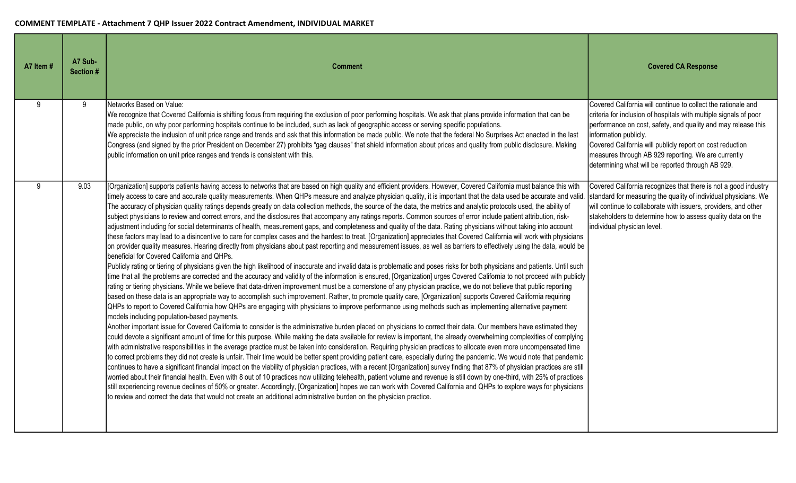| A7 Item # | A7 Sub-<br>Section # | <b>Comment</b>                                                                                                                                                                                                                                                                                                                                                                                                                                                                                                                                                                                                                                                                                                                                                                                                                                                                                                                                                                                                                                                                                                                                                                                                                                                                                                                                                                                                                                                                                                                                                                                                                                                                                                                                                                                                                                                                                                                                                                                                                                                                                                                                                                                                                                                                                                                                                                                                                                                                                                                                                                                                                                                                                                                                                                                                                                                                                                                                                                                                                                                                                                                                                                                                                                                                                                                                                                                                                                                                                                                                                        | <b>Covered CA Response</b>                                                                                                                                                                                                                                                                                                                                                                            |
|-----------|----------------------|-----------------------------------------------------------------------------------------------------------------------------------------------------------------------------------------------------------------------------------------------------------------------------------------------------------------------------------------------------------------------------------------------------------------------------------------------------------------------------------------------------------------------------------------------------------------------------------------------------------------------------------------------------------------------------------------------------------------------------------------------------------------------------------------------------------------------------------------------------------------------------------------------------------------------------------------------------------------------------------------------------------------------------------------------------------------------------------------------------------------------------------------------------------------------------------------------------------------------------------------------------------------------------------------------------------------------------------------------------------------------------------------------------------------------------------------------------------------------------------------------------------------------------------------------------------------------------------------------------------------------------------------------------------------------------------------------------------------------------------------------------------------------------------------------------------------------------------------------------------------------------------------------------------------------------------------------------------------------------------------------------------------------------------------------------------------------------------------------------------------------------------------------------------------------------------------------------------------------------------------------------------------------------------------------------------------------------------------------------------------------------------------------------------------------------------------------------------------------------------------------------------------------------------------------------------------------------------------------------------------------------------------------------------------------------------------------------------------------------------------------------------------------------------------------------------------------------------------------------------------------------------------------------------------------------------------------------------------------------------------------------------------------------------------------------------------------------------------------------------------------------------------------------------------------------------------------------------------------------------------------------------------------------------------------------------------------------------------------------------------------------------------------------------------------------------------------------------------------------------------------------------------------------------------------------------------------|-------------------------------------------------------------------------------------------------------------------------------------------------------------------------------------------------------------------------------------------------------------------------------------------------------------------------------------------------------------------------------------------------------|
| 9         | 9                    | Networks Based on Value:<br>We recognize that Covered California is shifting focus from requiring the exclusion of poor performing hospitals. We ask that plans provide information that can be<br>made public, on why poor performing hospitals continue to be included, such as lack of geographic access or serving specific populations.<br>We appreciate the inclusion of unit price range and trends and ask that this information be made public. We note that the federal No Surprises Act enacted in the last<br>Congress (and signed by the prior President on December 27) prohibits "gag clauses" that shield information about prices and quality from public disclosure. Making<br>public information on unit price ranges and trends is consistent with this.                                                                                                                                                                                                                                                                                                                                                                                                                                                                                                                                                                                                                                                                                                                                                                                                                                                                                                                                                                                                                                                                                                                                                                                                                                                                                                                                                                                                                                                                                                                                                                                                                                                                                                                                                                                                                                                                                                                                                                                                                                                                                                                                                                                                                                                                                                                                                                                                                                                                                                                                                                                                                                                                                                                                                                                          | Covered California will continue to collect the rationale and<br>criteria for inclusion of hospitals with multiple signals of poor<br>performance on cost, safety, and quality and may release this<br>information publicly.<br>Covered California will publicly report on cost reduction<br>measures through AB 929 reporting. We are currently<br>determining what will be reported through AB 929. |
| 9         | 9.03                 | [Organization] supports patients having access to networks that are based on high quality and efficient providers. However, Covered California must balance this with<br>timely access to care and accurate quality measurements. When QHPs measure and analyze physician quality, it is important that the data used be accurate and valid.<br>The accuracy of physician quality ratings depends greatly on data collection methods, the source of the data, the metrics and analytic protocols used, the ability of<br>subject physicians to review and correct errors, and the disclosures that accompany any ratings reports. Common sources of error include patient attribution, risk-<br>adjustment including for social determinants of health, measurement gaps, and completeness and quality of the data. Rating physicians without taking into account<br>these factors may lead to a disincentive to care for complex cases and the hardest to treat. [Organization] appreciates that Covered California will work with physicians<br>on provider quality measures. Hearing directly from physicians about past reporting and measurement issues, as well as barriers to effectively using the data, would be<br>beneficial for Covered California and QHPs.<br>Publicly rating or tiering of physicians given the high likelihood of inaccurate and invalid data is problematic and poses risks for both physicians and patients. Until such<br>time that all the problems are corrected and the accuracy and validity of the information is ensured, [Organization] urges Covered California to not proceed with publicly<br>rating or tiering physicians. While we believe that data-driven improvement must be a cornerstone of any physician practice, we do not believe that public reporting<br>based on these data is an appropriate way to accomplish such improvement. Rather, to promote quality care, [Organization] supports Covered California requiring<br>QHPs to report to Covered California how QHPs are engaging with physicians to improve performance using methods such as implementing alternative payment<br>models including population-based payments.<br>Another important issue for Covered California to consider is the administrative burden placed on physicians to correct their data. Our members have estimated they<br>could devote a significant amount of time for this purpose. While making the data available for review is important, the already overwhelming complexities of complying<br>with administrative responsibilities in the average practice must be taken into consideration. Requiring physician practices to allocate even more uncompensated time<br>to correct problems they did not create is unfair. Their time would be better spent providing patient care, especially during the pandemic. We would note that pandemic<br>continues to have a significant financial impact on the viability of physician practices, with a recent [Organization] survey finding that 87% of physician practices are still<br>worried about their financial health. Even with 8 out of 10 practices now utilizing telehealth, patient volume and revenue is still down by one-third, with 25% of practices<br>still experiencing revenue declines of 50% or greater. Accordingly, [Organization] hopes we can work with Covered California and QHPs to explore ways for physicians<br>to review and correct the data that would not create an additional administrative burden on the physician practice. | Covered California recognizes that there is not a good industry<br>standard for measuring the quality of individual physicians. We<br>will continue to collaborate with issuers, providers, and other<br>stakeholders to determine how to assess quality data on the<br>individual physician level.                                                                                                   |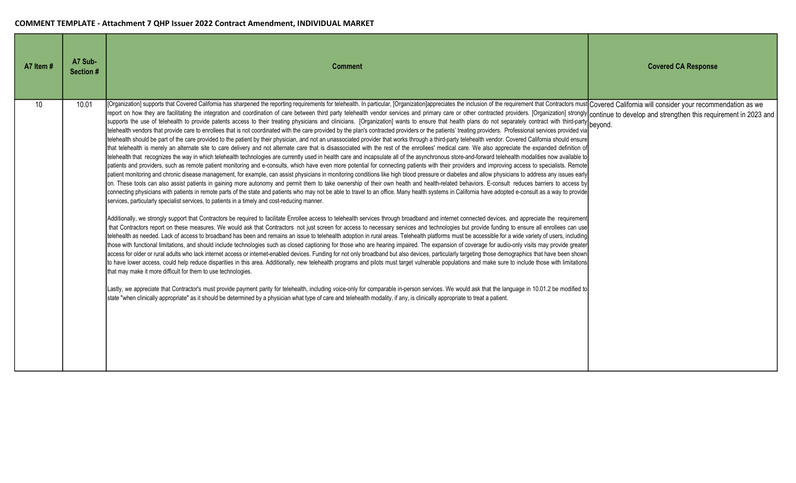| A7 Item #       | A7 Sub-<br>Section # | <b>Comment</b>                                                                                                                                                                                                                                                                                                                                                                                                                                                                                                                                                                                                                                                                                                                                                                                                                                                                                                                                                                                                                                                                                                                                                                                                                                                                                                                                                                                                                                                                                                                                                                                                                                                                                                                                                                                                                                                                                                                                                                                                                                                                                                                                                                                                                                                                                                                                                                                                                                                                                                                                                                                                                                                                                                                                                                                                                                                                                                                                                                                                                                                                                                                                                                                                                                                                                                                                                                                                                                                                                                                                                                                                                                                                                                                                                                                                                                                                                                                                                                                                                                                                                                                                                | <b>Covered CA Response</b> |
|-----------------|----------------------|---------------------------------------------------------------------------------------------------------------------------------------------------------------------------------------------------------------------------------------------------------------------------------------------------------------------------------------------------------------------------------------------------------------------------------------------------------------------------------------------------------------------------------------------------------------------------------------------------------------------------------------------------------------------------------------------------------------------------------------------------------------------------------------------------------------------------------------------------------------------------------------------------------------------------------------------------------------------------------------------------------------------------------------------------------------------------------------------------------------------------------------------------------------------------------------------------------------------------------------------------------------------------------------------------------------------------------------------------------------------------------------------------------------------------------------------------------------------------------------------------------------------------------------------------------------------------------------------------------------------------------------------------------------------------------------------------------------------------------------------------------------------------------------------------------------------------------------------------------------------------------------------------------------------------------------------------------------------------------------------------------------------------------------------------------------------------------------------------------------------------------------------------------------------------------------------------------------------------------------------------------------------------------------------------------------------------------------------------------------------------------------------------------------------------------------------------------------------------------------------------------------------------------------------------------------------------------------------------------------------------------------------------------------------------------------------------------------------------------------------------------------------------------------------------------------------------------------------------------------------------------------------------------------------------------------------------------------------------------------------------------------------------------------------------------------------------------------------------------------------------------------------------------------------------------------------------------------------------------------------------------------------------------------------------------------------------------------------------------------------------------------------------------------------------------------------------------------------------------------------------------------------------------------------------------------------------------------------------------------------------------------------------------------------------------------------------------------------------------------------------------------------------------------------------------------------------------------------------------------------------------------------------------------------------------------------------------------------------------------------------------------------------------------------------------------------------------------------------------------------------------------------------------------|----------------------------|
| 10 <sup>°</sup> | 10.01                | [Organization] supports that Covered California has sharpened the reporting requirements for telehealth. In particular, [Organization]appreciates the inclusion of the requirement that Contractors must Covered California wi<br>report on how they are facilitating the integration and coordination of care between third party telehealth vendor services and primary care or other contracted providers. [Organization] strongly continue to develop and st<br>supports the use of telehealth to provide patents access to their treating physicians and clinicians. [Organization] wants to ensure that health plans do not separately contract with third-party beyond.<br>telehealth vendors that provide care to enrollees that is not coordinated with the care provided by the plan's contracted providers or the patients' treating providers. Professional services provided via<br>telehealth should be part of the care provided to the patient by their physician, and not an unassociated provider that works through a third-party telehealth vendor. Covered California should ensure<br>that telehealth is merely an alternate site to care delivery and not alternate care that is disassociated with the rest of the enrollees' medical care. We also appreciate the expanded definition of<br>telehealth that recognizes the way in which telehealth technologies are currently used in health care and incapsulate all of the asynchronous store-and-forward telehealth modalities now available to<br>patients and providers, such as remote patient monitoring and e-consults, which have even more potential for connecting patients with their providers and improving access to specialists. Remote<br>patient monitoring and chronic disease management, for example, can assist physicians in monitoring conditions like high blood pressure or diabetes and allow physicians to address any issues early<br>on. These tools can also assist patients in gaining more autonomy and permit them to take ownership of their own health and health-related behaviors. E-consult reduces barriers to access by<br>connecting physicians with patients in remote parts of the state and patients who may not be able to travel to an office. Many health systems in California have adopted e-consult as a way to provide<br>services, particularly specialist services, to patients in a timely and cost-reducing manner.<br>Additionally, we strongly support that Contractors be required to facilitate Enrollee access to telehealth services through broadband and internet connected devices, and appreciate the requirement<br>that Contractors report on these measures. We would ask that Contractors not just screen for access to necessary services and technologies but provide funding to ensure all enrollees can use<br>telehealth as needed. Lack of access to broadband has been and remains an issue to telehealth adoption in rural areas. Telehealth platforms must be accessible for a wide variety of users, including<br>those with functional limitations, and should include technologies such as closed captioning for those who are hearing impaired. The expansion of coverage for audio-only visits may provide greater<br>access for older or rural adults who lack internet access or internet-enabled devices. Funding for not only broadband but also devices, particularly targeting those demographics that have been shown<br>to have lower access, could help reduce disparities in this area. Additionally, new telehealth programs and pilots must target vulnerable populations and make sure to include those with limitations<br>that may make it more difficult for them to use technologies.<br>Lastly, we appreciate that Contractor's must provide payment parity for telehealth, including voice-only for comparable in-person services. We would ask that the language in 10.01.2 be modified to<br>state "when clinically appropriate" as it should be determined by a physician what type of care and telehealth modality, if any, is clinically appropriate to treat a patient. |                            |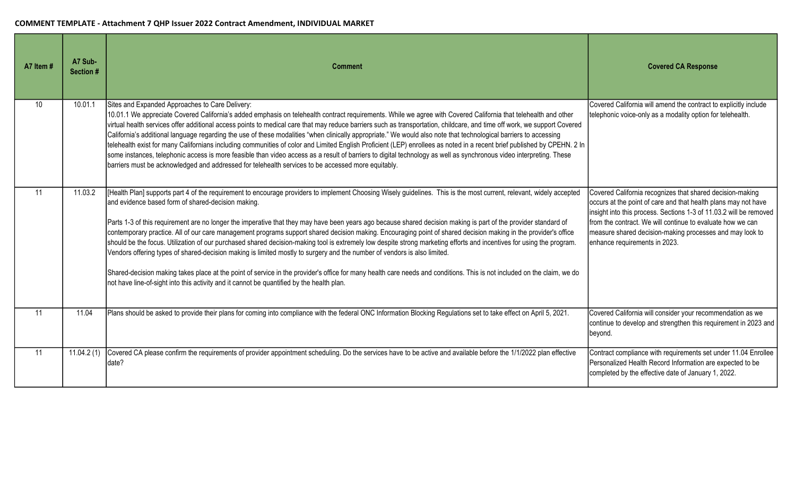| A7 Item # | A7 Sub-<br>Section # | <b>Comment</b>                                                                                                                                                                                                                                                                                                                                                                                                                                                                                                                                                                                                                                                                                                                                                                                                                                                                                                                                                                                                                                                                                                                                | <b>Covered CA Response</b>                                                                                                                                                                                                                                                                                                                                   |
|-----------|----------------------|-----------------------------------------------------------------------------------------------------------------------------------------------------------------------------------------------------------------------------------------------------------------------------------------------------------------------------------------------------------------------------------------------------------------------------------------------------------------------------------------------------------------------------------------------------------------------------------------------------------------------------------------------------------------------------------------------------------------------------------------------------------------------------------------------------------------------------------------------------------------------------------------------------------------------------------------------------------------------------------------------------------------------------------------------------------------------------------------------------------------------------------------------|--------------------------------------------------------------------------------------------------------------------------------------------------------------------------------------------------------------------------------------------------------------------------------------------------------------------------------------------------------------|
| 10        | 10.01.1              | Sites and Expanded Approaches to Care Delivery:<br>10.01.1 We appreciate Covered California's added emphasis on telehealth contract requirements. While we agree with Covered California that telehealth and other<br>virtual health services offer additional access points to medical care that may reduce barriers such as transportation, childcare, and time off work, we support Covered<br>California's additional language regarding the use of these modalities "when clinically appropriate." We would also note that technological barriers to accessing<br>telehealth exist for many Californians including communities of color and Limited English Proficient (LEP) enrollees as noted in a recent brief published by CPEHN. 2 In<br>some instances, telephonic access is more feasible than video access as a result of barriers to digital technology as well as synchronous video interpreting. These<br>barriers must be acknowledged and addressed for telehealth services to be accessed more equitably.                                                                                                                  | Covered California will amend the contract to explicitly include<br>telephonic voice-only as a modality option for telehealth.                                                                                                                                                                                                                               |
| 11        | 11.03.2              | [Health Plan] supports part 4 of the requirement to encourage providers to implement Choosing Wisely guidelines. This is the most current, relevant, widely accepted<br>and evidence based form of shared-decision making.<br>Parts 1-3 of this requirement are no longer the imperative that they may have been years ago because shared decision making is part of the provider standard of<br>contemporary practice. All of our care management programs support shared decision making. Encouraging point of shared decision making in the provider's office<br>should be the focus. Utilization of our purchased shared decision-making tool is extremely low despite strong marketing efforts and incentives for using the program.<br>Vendors offering types of shared-decision making is limited mostly to surgery and the number of vendors is also limited.<br>Shared-decision making takes place at the point of service in the provider's office for many health care needs and conditions. This is not included on the claim, we do<br>not have line-of-sight into this activity and it cannot be quantified by the health plan. | Covered California recognizes that shared decision-making<br>occurs at the point of care and that health plans may not have<br>insight into this process. Sections 1-3 of 11.03.2 will be removed<br>from the contract. We will continue to evaluate how we can<br>measure shared decision-making processes and may look to<br>enhance requirements in 2023. |
| 11        | 11.04                | Plans should be asked to provide their plans for coming into compliance with the federal ONC Information Blocking Regulations set to take effect on April 5, 2021.                                                                                                                                                                                                                                                                                                                                                                                                                                                                                                                                                                                                                                                                                                                                                                                                                                                                                                                                                                            | Covered California will consider your recommendation as we<br>continue to develop and strengthen this requirement in 2023 and<br>beyond.                                                                                                                                                                                                                     |
| 11        | 11.04.2(1)           | Covered CA please confirm the requirements of provider appointment scheduling. Do the services have to be active and available before the 1/1/2022 plan effective<br>date?                                                                                                                                                                                                                                                                                                                                                                                                                                                                                                                                                                                                                                                                                                                                                                                                                                                                                                                                                                    | Contract compliance with requirements set under 11.04 Enrollee<br>Personalized Health Record Information are expected to be<br>completed by the effective date of January 1, 2022.                                                                                                                                                                           |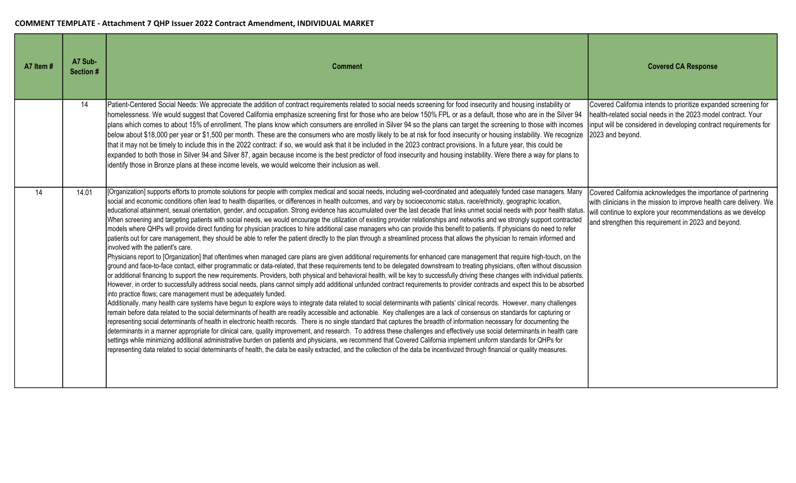| A7 Item # | A7 Sub-<br>Section # | <b>Comment</b>                                                                                                                                                                                                                                                                                                                                                                                                                                                                                                                                                                                                                                                                                                                                                                                                                                                                                                                                                                                                                                                                                                                                                                                                                                                                                                                                                                                                                                                                                                                                                                                                                                                                                                                                                                                                                                                                                                                                                                                                                                                                                                                                                                                                                                                                                                                                                                                                                                                                                                                                                                                                                                                                                                                                                                                                                                                                                                                                                                                                                                  | <b>Covered CA Response</b>                                                                                                                                                                                                                               |
|-----------|----------------------|-------------------------------------------------------------------------------------------------------------------------------------------------------------------------------------------------------------------------------------------------------------------------------------------------------------------------------------------------------------------------------------------------------------------------------------------------------------------------------------------------------------------------------------------------------------------------------------------------------------------------------------------------------------------------------------------------------------------------------------------------------------------------------------------------------------------------------------------------------------------------------------------------------------------------------------------------------------------------------------------------------------------------------------------------------------------------------------------------------------------------------------------------------------------------------------------------------------------------------------------------------------------------------------------------------------------------------------------------------------------------------------------------------------------------------------------------------------------------------------------------------------------------------------------------------------------------------------------------------------------------------------------------------------------------------------------------------------------------------------------------------------------------------------------------------------------------------------------------------------------------------------------------------------------------------------------------------------------------------------------------------------------------------------------------------------------------------------------------------------------------------------------------------------------------------------------------------------------------------------------------------------------------------------------------------------------------------------------------------------------------------------------------------------------------------------------------------------------------------------------------------------------------------------------------------------------------------------------------------------------------------------------------------------------------------------------------------------------------------------------------------------------------------------------------------------------------------------------------------------------------------------------------------------------------------------------------------------------------------------------------------------------------------------------------|----------------------------------------------------------------------------------------------------------------------------------------------------------------------------------------------------------------------------------------------------------|
|           | 14                   | Patient-Centered Social Needs: We appreciate the addition of contract requirements related to social needs screening for food insecurity and housing instability or<br>homelessness. We would suggest that Covered California emphasize screening first for those who are below 150% FPL or as a default, those who are in the Silver 94<br>plans which comes to about 15% of enrollment. The plans know which consumers are enrolled in Silver 94 so the plans can target the screening to those with incomes<br>below about \$18,000 per year or \$1,500 per month. These are the consumers who are mostly likely to be at risk for food insecurity or housing instability. We recognize<br>that it may not be timely to include this in the 2022 contract: if so, we would ask that it be included in the 2023 contract provisions. In a future year, this could be<br>expanded to both those in Silver 94 and Silver 87, again because income is the best predictor of food insecurity and housing instability. Were there a way for plans to<br>identify those in Bronze plans at these income levels, we would welcome their inclusion as well.                                                                                                                                                                                                                                                                                                                                                                                                                                                                                                                                                                                                                                                                                                                                                                                                                                                                                                                                                                                                                                                                                                                                                                                                                                                                                                                                                                                                                                                                                                                                                                                                                                                                                                                                                                                                                                                                                           | Covered California intends to prioritize expanded screening for<br>health-related social needs in the 2023 model contract. Your<br>input will be considered in developing contract requirements for<br>2023 and beyond.                                  |
| 14        | 14.01                | [Organization] supports efforts to promote solutions for people with complex medical and social needs, including well-coordinated and adequately funded case managers. Many<br>social and economic conditions often lead to health disparities, or differences in health outcomes, and vary by socioeconomic status, race/ethnicity, geographic location,<br>educational attainment, sexual orientation, gender, and occupation. Strong evidence has accumulated over the last decade that links unmet social needs with poor health status.<br>When screening and targeting patients with social needs, we would encourage the utilization of existing provider relationships and networks and we strongly support contracted<br>models where QHPs will provide direct funding for physician practices to hire additional case managers who can provide this benefit to patients. If physicians do need to refer<br>patients out for care management, they should be able to refer the patient directly to the plan through a streamlined process that allows the physician to remain informed and<br>involved with the patient's care.<br>Physicians report to [Organization] that oftentimes when managed care plans are given additional requirements for enhanced care management that require high-touch, on the<br>ground and face-to-face contact, either programmatic or data-related, that these requirements tend to be delegated downstream to treating physicians, often without discussion<br>or additional financing to support the new requirements. Providers, both physical and behavioral health, will be key to successfully driving these changes with individual patients.<br>However, in order to successfully address social needs, plans cannot simply add additional unfunded contract requirements to provider contracts and expect this to be absorbed<br>into practice flows; care management must be adequately funded.<br>Additionally, many health care systems have begun to explore ways to integrate data related to social determinants with patients' clinical records. However, many challenges<br>remain before data related to the social determinants of health are readily accessible and actionable. Key challenges are a lack of consensus on standards for capturing or<br>representing social determinants of health in electronic health records. There is no single standard that captures the breadth of information necessary for documenting the<br>determinants in a manner appropriate for clinical care, quality improvement, and research. To address these challenges and effectively use social determinants in health care<br>settings while minimizing additional administrative burden on patients and physicians, we recommend that Covered California implement uniform standards for QHPs for<br>representing data related to social determinants of health, the data be easily extracted, and the collection of the data be incentivized through financial or quality measures. | Covered California acknowledges the importance of partnering<br>with clinicians in the mission to improve health care delivery. We<br>will continue to explore your recommendations as we develop<br>and strengthen this requirement in 2023 and beyond. |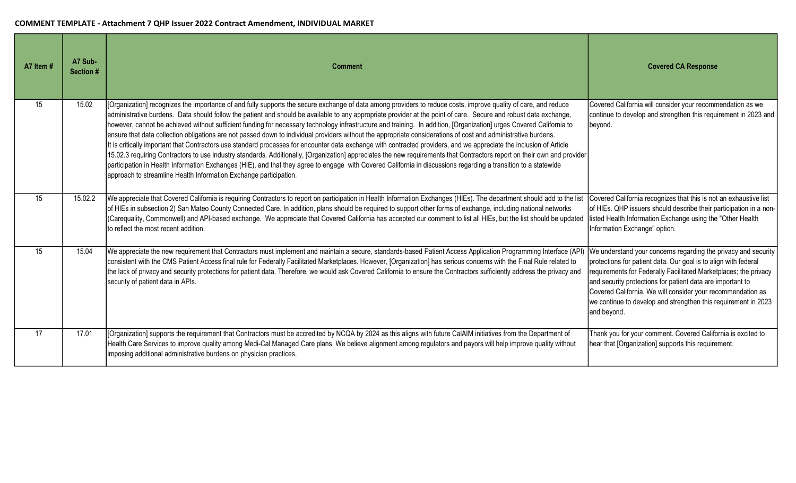| A7 Item # | A7 Sub-<br>Section # | <b>Comment</b>                                                                                                                                                                                                                                                                                                                                                                                                                                                                                                                                                                                                                                                                                                                                                                                                                                                                                                                                                                                                                                                                                                                                                                                                                                                             | <b>Covered CA Response</b>                                                                                                                                                                                                                                                                                                                                                                                          |
|-----------|----------------------|----------------------------------------------------------------------------------------------------------------------------------------------------------------------------------------------------------------------------------------------------------------------------------------------------------------------------------------------------------------------------------------------------------------------------------------------------------------------------------------------------------------------------------------------------------------------------------------------------------------------------------------------------------------------------------------------------------------------------------------------------------------------------------------------------------------------------------------------------------------------------------------------------------------------------------------------------------------------------------------------------------------------------------------------------------------------------------------------------------------------------------------------------------------------------------------------------------------------------------------------------------------------------|---------------------------------------------------------------------------------------------------------------------------------------------------------------------------------------------------------------------------------------------------------------------------------------------------------------------------------------------------------------------------------------------------------------------|
| 15        | 15.02                | [Organization] recognizes the importance of and fully supports the secure exchange of data among providers to reduce costs, improve quality of care, and reduce<br>administrative burdens. Data should follow the patient and should be available to any appropriate provider at the point of care. Secure and robust data exchange,<br>however, cannot be achieved without sufficient funding for necessary technology infrastructure and training. In addition, [Organization] urges Covered California to<br>ensure that data collection obligations are not passed down to individual providers without the appropriate considerations of cost and administrative burdens.<br>It is critically important that Contractors use standard processes for encounter data exchange with contracted providers, and we appreciate the inclusion of Article<br>15.02.3 requiring Contractors to use industry standards. Additionally, [Organization] appreciates the new requirements that Contractors report on their own and provider<br>participation in Health Information Exchanges (HIE), and that they agree to engage with Covered California in discussions regarding a transition to a statewide<br>approach to streamline Health Information Exchange participation. | Covered California will consider your recommendation as we<br>continue to develop and strengthen this requirement in 2023 and<br>beyond.                                                                                                                                                                                                                                                                            |
| 15        | 15.02.2              | We appreciate that Covered California is requiring Contractors to report on participation in Health Information Exchanges (HIEs). The department should add to the list<br>of HIEs in subsection 2) San Mateo County Connected Care. In addition, plans should be required to support other forms of exchange, including national networks<br>(Carequality, Commonwell) and API-based exchange. We appreciate that Covered California has accepted our comment to list all HIEs, but the list should be updated<br>Ito reflect the most recent addition.                                                                                                                                                                                                                                                                                                                                                                                                                                                                                                                                                                                                                                                                                                                   | Covered California recognizes that this is not an exhaustive list<br>of HIEs. QHP issuers should describe their participation in a non-<br>listed Health Information Exchange using the "Other Health<br>Information Exchange" option.                                                                                                                                                                              |
| 15        | 15.04                | We appreciate the new requirement that Contractors must implement and maintain a secure, standards-based Patient Access Application Programming Interface (API)<br>consistent with the CMS Patient Access final rule for Federally Facilitated Marketplaces. However, [Organization] has serious concerns with the Final Rule related to<br>the lack of privacy and security protections for patient data. Therefore, we would ask Covered California to ensure the Contractors sufficiently address the privacy and<br>security of patient data in APIs.                                                                                                                                                                                                                                                                                                                                                                                                                                                                                                                                                                                                                                                                                                                  | We understand your concerns regarding the privacy and security<br>protections for patient data. Our goal is to align with federal<br>requirements for Federally Facilitated Marketplaces; the privacy<br>and security protections for patient data are important to<br>Covered California. We will consider your recommendation as<br>we continue to develop and strengthen this requirement in 2023<br>and beyond. |
| 17        | 17.01                | [Organization] supports the requirement that Contractors must be accredited by NCQA by 2024 as this aligns with future CalAIM initiatives from the Department of<br>Health Care Services to improve quality among Medi-Cal Managed Care plans. We believe alignment among regulators and payors will help improve quality without<br>imposing additional administrative burdens on physician practices.                                                                                                                                                                                                                                                                                                                                                                                                                                                                                                                                                                                                                                                                                                                                                                                                                                                                    | Thank you for your comment. Covered California is excited to<br>hear that [Organization] supports this requirement.                                                                                                                                                                                                                                                                                                 |